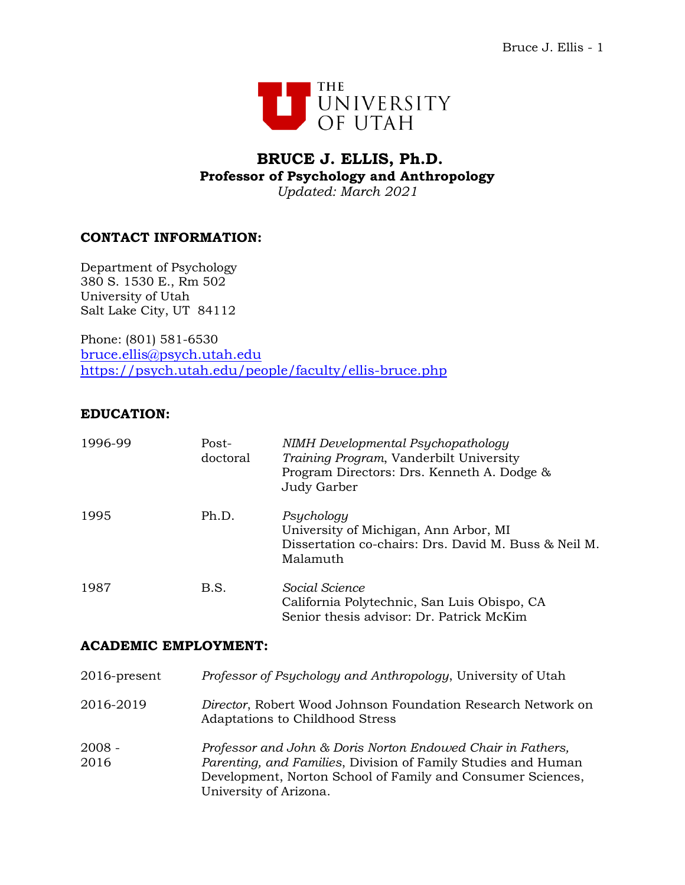

# **BRUCE J. ELLIS, Ph.D. Professor of Psychology and Anthropology** *Updated: March 2021*

#### **CONTACT INFORMATION:**

Department of Psychology 380 S. 1530 E., Rm 502 University of Utah Salt Lake City, UT 84112

Phone: (801) 581-6530 [bruce.ellis@psych.utah.edu](mailto:bruce.ellis@psych.utah.edu) <https://psych.utah.edu/people/faculty/ellis-bruce.php>

#### **EDUCATION:**

| 1996-99 | Post-<br>doctoral | NIMH Developmental Psychopathology<br>Training Program, Vanderbilt University<br>Program Directors: Drs. Kenneth A. Dodge &<br>Judy Garber |
|---------|-------------------|--------------------------------------------------------------------------------------------------------------------------------------------|
| 1995    | Ph.D.             | Psychology<br>University of Michigan, Ann Arbor, MI<br>Dissertation co-chairs: Drs. David M. Buss & Neil M.<br>Malamuth                    |
| 1987    | B.S.              | Social Science<br>California Polytechnic, San Luis Obispo, CA<br>Senior thesis advisor: Dr. Patrick McKim                                  |

#### **ACADEMIC EMPLOYMENT:**

| $2016$ -present  | Professor of Psychology and Anthropology, University of Utah                                                                                                                                                          |
|------------------|-----------------------------------------------------------------------------------------------------------------------------------------------------------------------------------------------------------------------|
| 2016-2019        | Director, Robert Wood Johnson Foundation Research Network on<br>Adaptations to Childhood Stress                                                                                                                       |
| $2008 -$<br>2016 | Professor and John & Doris Norton Endowed Chair in Fathers,<br>Parenting, and Families, Division of Family Studies and Human<br>Development, Norton School of Family and Consumer Sciences,<br>University of Arizona. |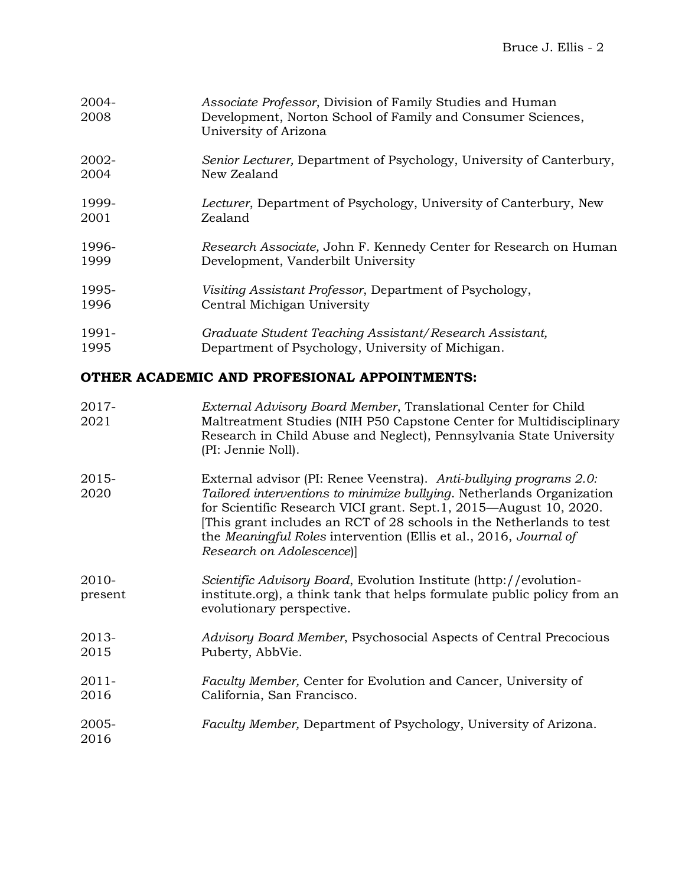| 2004-<br>2008 | Associate Professor, Division of Family Studies and Human<br>Development, Norton School of Family and Consumer Sciences,<br>University of Arizona |
|---------------|---------------------------------------------------------------------------------------------------------------------------------------------------|
| 2002-         | Senior Lecturer, Department of Psychology, University of Canterbury,                                                                              |
| 2004          | New Zealand                                                                                                                                       |
| 1999-         | Lecturer, Department of Psychology, University of Canterbury, New                                                                                 |
| 2001          | Zealand                                                                                                                                           |
| 1996-         | Research Associate, John F. Kennedy Center for Research on Human                                                                                  |
| 1999          | Development, Vanderbilt University                                                                                                                |
| 1995-         | Visiting Assistant Professor, Department of Psychology,                                                                                           |
| 1996          | Central Michigan University                                                                                                                       |
| 1991-         | Graduate Student Teaching Assistant/Research Assistant,                                                                                           |
| 1995          | Department of Psychology, University of Michigan.                                                                                                 |

# **OTHER ACADEMIC AND PROFESIONAL APPOINTMENTS:**

| 2017-<br>2021    | External Advisory Board Member, Translational Center for Child<br>Maltreatment Studies (NIH P50 Capstone Center for Multidisciplinary<br>Research in Child Abuse and Neglect), Pennsylvania State University<br>(PI: Jennie Noll).                                                                                                                                                        |
|------------------|-------------------------------------------------------------------------------------------------------------------------------------------------------------------------------------------------------------------------------------------------------------------------------------------------------------------------------------------------------------------------------------------|
| 2015-<br>2020    | External advisor (PI: Renee Veenstra). Anti-bullying programs 2.0:<br>Tailored interventions to minimize bullying. Netherlands Organization<br>for Scientific Research VICI grant. Sept.1, 2015—August 10, 2020.<br>This grant includes an RCT of 28 schools in the Netherlands to test<br>the Meaningful Roles intervention (Ellis et al., 2016, Journal of<br>Research on Adolescence)] |
| 2010-<br>present | Scientific Advisory Board, Evolution Institute (http://evolution-<br>institute.org), a think tank that helps formulate public policy from an<br>evolutionary perspective.                                                                                                                                                                                                                 |
| 2013-<br>2015    | Advisory Board Member, Psychosocial Aspects of Central Precocious<br>Puberty, AbbVie.                                                                                                                                                                                                                                                                                                     |
| $2011 -$<br>2016 | Faculty Member, Center for Evolution and Cancer, University of<br>California, San Francisco.                                                                                                                                                                                                                                                                                              |
| 2005-<br>2016    | Faculty Member, Department of Psychology, University of Arizona.                                                                                                                                                                                                                                                                                                                          |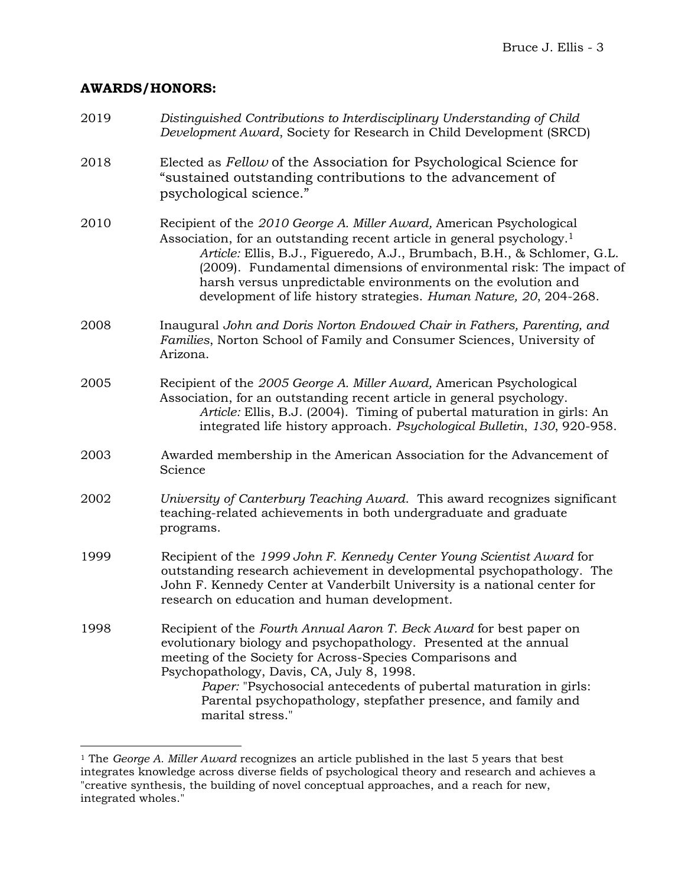# **AWARDS/HONORS:**

 $\overline{a}$ 

2019 *Distinguished Contributions to Interdisciplinary Understanding of Child Development Award*, Society for Research in Child Development (SRCD) 2018 Elected as *Fellow* of the Association for Psychological Science for "sustained outstanding contributions to the advancement of psychological science." 2010 Recipient of the *2010 George A. Miller Award,* American Psychological Association, for an outstanding recent article in general psychology.<sup>1</sup> *Article:* Ellis, B.J., Figueredo, A.J., Brumbach, B.H., & Schlomer, G.L. (2009). Fundamental dimensions of environmental risk: The impact of harsh versus unpredictable environments on the evolution and development of life history strategies. *Human Nature, 20*, 204-268. 2008 Inaugural *John and Doris Norton Endowed Chair in Fathers, Parenting, and Families*, Norton School of Family and Consumer Sciences, University of Arizona. 2005 Recipient of the *2005 George A. Miller Award,* American Psychological Association, for an outstanding recent article in general psychology. *Article:* Ellis, B.J. (2004). Timing of pubertal maturation in girls: An integrated life history approach. *Psychological Bulletin*, *130*, 920-958. 2003 Awarded membership in the American Association for the Advancement of Science 2002 *University of Canterbury Teaching Award*. This award recognizes significant teaching-related achievements in both undergraduate and graduate programs. 1999 Recipient of the *1999 John F. Kennedy Center Young Scientist Award* for outstanding research achievement in developmental psychopathology. The John F. Kennedy Center at Vanderbilt University is a national center for research on education and human development. 1998 Recipient of the *Fourth Annual Aaron T. Beck Award* for best paper on evolutionary biology and psychopathology. Presented at the annual meeting of the Society for Across-Species Comparisons and Psychopathology, Davis, CA, July 8, 1998. *Paper:* "Psychosocial antecedents of pubertal maturation in girls: Parental psychopathology, stepfather presence, and family and marital stress."

<sup>1</sup> The *George A. Miller Award* recognizes an article published in the last 5 years that best integrates knowledge across diverse fields of psychological theory and research and achieves a "creative synthesis, the building of novel conceptual approaches, and a reach for new, integrated wholes."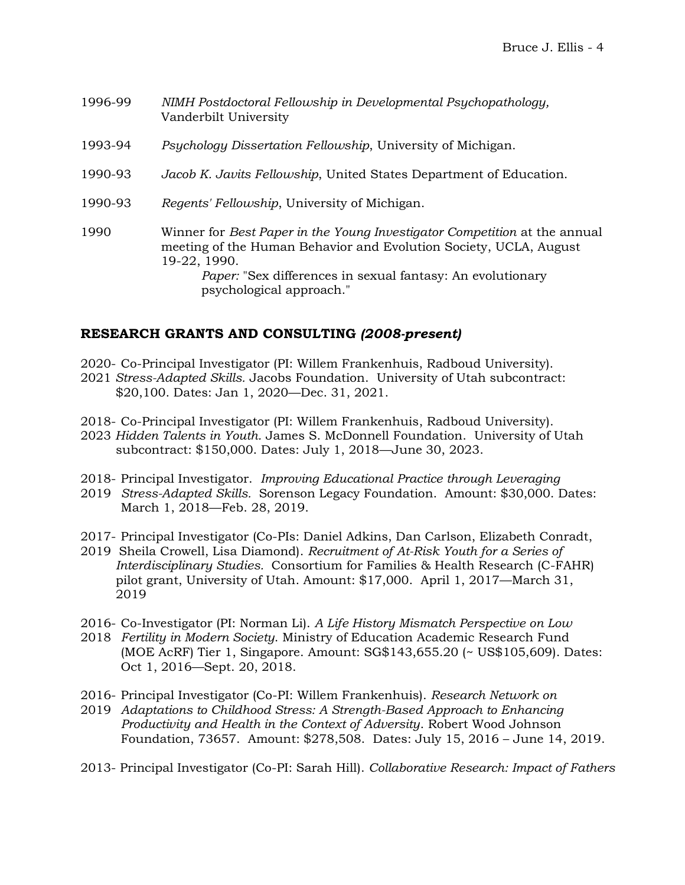- 1996-99 *NIMH Postdoctoral Fellowship in Developmental Psychopathology,* Vanderbilt University
- 1993-94 *Psychology Dissertation Fellowship*, University of Michigan.
- 1990-93 *Jacob K. Javits Fellowship*, United States Department of Education.
- 1990-93 *Regents' Fellowship*, University of Michigan.
- 1990 Winner for *Best Paper in the Young Investigator Competition* at the annual meeting of the Human Behavior and Evolution Society, UCLA, August 19-22, 1990.

*Paper:* "Sex differences in sexual fantasy: An evolutionary psychological approach."

#### **RESEARCH GRANTS AND CONSULTING** *(2008-present)*

- 2020- Co-Principal Investigator (PI: Willem Frankenhuis, Radboud University). 2021 *Stress-Adapted Skills.* Jacobs Foundation. University of Utah subcontract: \$20,100. Dates: Jan 1, 2020—Dec. 31, 2021.
- 2018- Co-Principal Investigator (PI: Willem Frankenhuis, Radboud University).
- 2023 *Hidden Talents in Youth.* James S. McDonnell Foundation. University of Utah subcontract: \$150,000. Dates: July 1, 2018—June 30, 2023.
- 2018- Principal Investigator. *Improving Educational Practice through Leveraging*
- 2019 *Stress-Adapted Skills.* Sorenson Legacy Foundation. Amount: \$30,000. Dates: March 1, 2018—Feb. 28, 2019.
- 2017- Principal Investigator (Co-PIs: Daniel Adkins, Dan Carlson, Elizabeth Conradt,
- 2019 Sheila Crowell, Lisa Diamond). *Recruitment of At-Risk Youth for a Series of Interdisciplinary Studies.* Consortium for Families & Health Research (C-FAHR) pilot grant, University of Utah. Amount: \$17,000. April 1, 2017—March 31, 2019
- 2016- Co-Investigator (PI: Norman Li). *A Life History Mismatch Perspective on Low*
- 2018 *Fertility in Modern Society*. Ministry of Education Academic Research Fund (MOE AcRF) Tier 1, Singapore. Amount: SG\$143,655.20 (~ US\$105,609). Dates: Oct 1, 2016—Sept. 20, 2018.
- 2016- Principal Investigator (Co-PI: Willem Frankenhuis). *Research Network on*
- 2019 *Adaptations to Childhood Stress: A Strength-Based Approach to Enhancing Productivity and Health in the Context of Adversity*. Robert Wood Johnson Foundation, 73657. Amount: \$278,508. Dates: July 15, 2016 – June 14, 2019.
- 2013- Principal Investigator (Co-PI: Sarah Hill). *Collaborative Research: Impact of Fathers*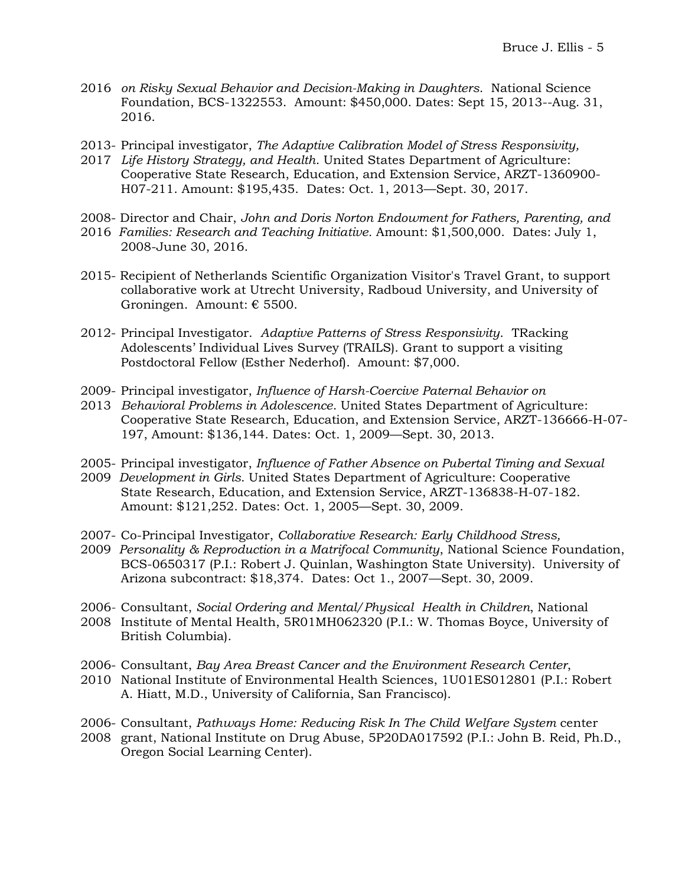- 2016 *on Risky Sexual Behavior and Decision-Making in Daughters*. National Science Foundation, BCS-1322553. Amount: \$450,000. Dates: Sept 15, 2013--Aug. 31, 2016.
- 2013- Principal investigator, *The Adaptive Calibration Model of Stress Responsivity,*
- 2017 *Life History Strategy, and Health*. United States Department of Agriculture: Cooperative State Research, Education, and Extension Service, ARZT-1360900- H07-211. Amount: \$195,435. Dates: Oct. 1, 2013—Sept. 30, 2017.
- 2008- Director and Chair, *John and Doris Norton Endowment for Fathers, Parenting, and*
- 2016 *Families: Research and Teaching Initiative.* Amount: \$1,500,000. Dates: July 1, 2008-June 30, 2016.
- 2015- Recipient of Netherlands Scientific Organization Visitor's Travel Grant, to support collaborative work at Utrecht University, Radboud University, and University of Groningen. Amount: € 5500.
- 2012- Principal Investigator. *Adaptive Patterns of Stress Responsivity*. TRacking Adolescents' Individual Lives Survey (TRAILS). Grant to support a visiting Postdoctoral Fellow (Esther Nederhof). Amount: \$7,000.
- 2009- Principal investigator, *Influence of Harsh-Coercive Paternal Behavior on*
- 2013 *Behavioral Problems in Adolescence*. United States Department of Agriculture: Cooperative State Research, Education, and Extension Service, ARZT-136666-H-07- 197, Amount: \$136,144. Dates: Oct. 1, 2009—Sept. 30, 2013.
- 2005- Principal investigator, *Influence of Father Absence on Pubertal Timing and Sexual*
- 2009 *Development in Girls*. United States Department of Agriculture: Cooperative State Research, Education, and Extension Service, ARZT-136838-H-07-182. Amount: \$121,252. Dates: Oct. 1, 2005—Sept. 30, 2009.
- 2007- Co-Principal Investigator, *Collaborative Research: Early Childhood Stress,*
- 2009 *Personality & Reproduction in a Matrifocal Community*, National Science Foundation, BCS-0650317 (P.I.: Robert J. Quinlan, Washington State University). University of Arizona subcontract: \$18,374. Dates: Oct 1., 2007—Sept. 30, 2009.
- 2006*-* Consultant, *Social Ordering and Mental/Physical Health in Children*, National
- 2008 Institute of Mental Health, 5R01MH062320 (P.I.: W. Thomas Boyce, University of British Columbia).
- 2006- Consultant, *Bay Area Breast Cancer and the Environment Research Center*,
- 2010 National Institute of Environmental Health Sciences, 1U01ES012801 (P.I.: Robert A. Hiatt, M.D., University of California, San Francisco).
- 2006- Consultant, *Pathways Home: Reducing Risk In The Child Welfare System* center
- 2008 grant, National Institute on Drug Abuse, 5P20DA017592 (P.I.: John B. Reid, Ph.D., Oregon Social Learning Center).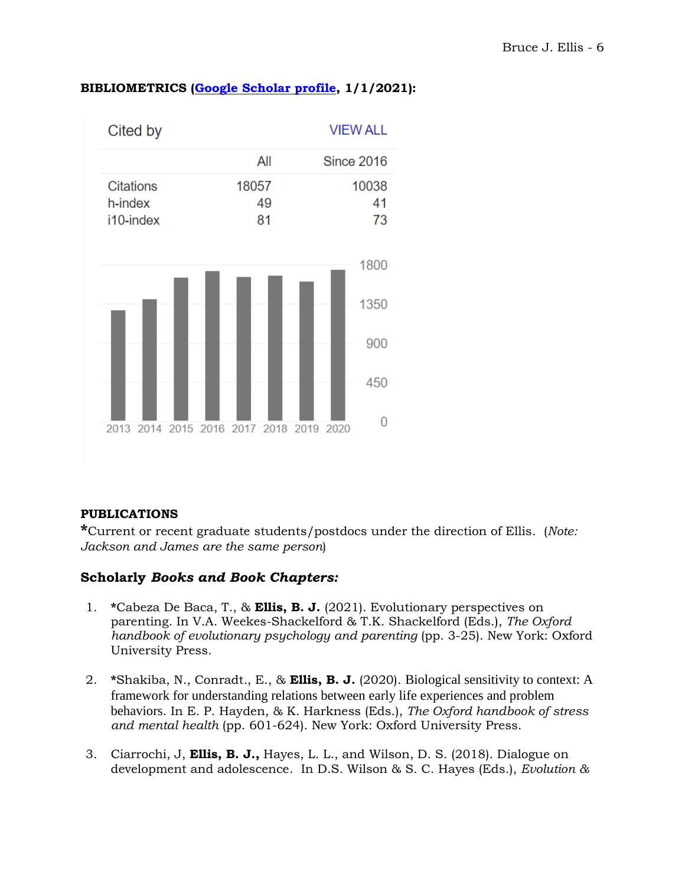



#### **PUBLICATIONS**

**\***Current or recent graduate students/postdocs under the direction of Ellis. (*Note: Jackson and James are the same person*)

# **Scholarly** *Books and Book Chapters:*

- 1. **\***Cabeza De Baca, T., & **Ellis, B. J.** (2021). Evolutionary perspectives on parenting. In V.A. Weekes-Shackelford & T.K. Shackelford (Eds.), *The Oxford handbook of evolutionary psychology and parenting* (pp. 3-25). New York: Oxford University Press.
- 2. **\***Shakiba, N., Conradt., E., & **Ellis, B. J.** (2020). Biological sensitivity to context: A framework for understanding relations between early life experiences and problem behaviors. In E. P. Hayden, & K. Harkness (Eds.), *The Oxford handbook of stress and mental health* (pp. 601-624). New York: Oxford University Press.
- 3. Ciarrochi, J, **Ellis, B. J.,** Hayes, L. L., and Wilson, D. S. (2018). Dialogue on development and adolescence. In D.S. Wilson & S. C. Hayes (Eds.), *Evolution &*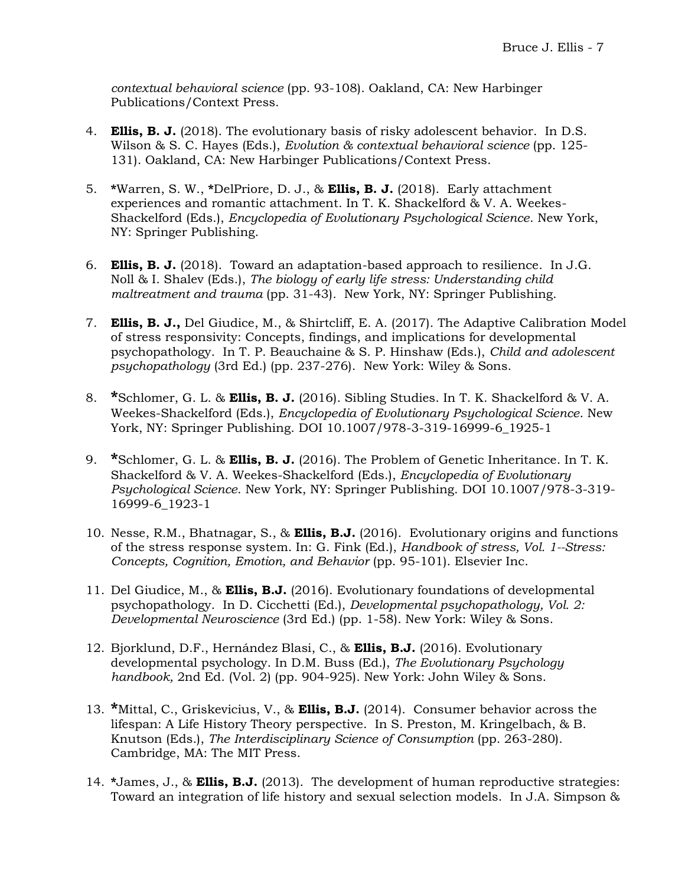*contextual behavioral science* (pp. 93-108). Oakland, CA: New Harbinger Publications/Context Press.

- 4. **Ellis, B. J.** (2018). The evolutionary basis of risky adolescent behavior. In D.S. Wilson & S. C. Hayes (Eds.), *Evolution & contextual behavioral science* (pp. 125- 131). Oakland, CA: New Harbinger Publications/Context Press.
- 5. **\***Warren, S. W., **\***DelPriore, D. J., & **Ellis, B. J.** (2018). Early attachment experiences and romantic attachment. In T. K. Shackelford & V. A. Weekes-Shackelford (Eds.), *Encyclopedia of Evolutionary Psychological Science*. New York, NY: Springer Publishing.
- 6. **Ellis, B. J.** (2018). Toward an adaptation-based approach to resilience. In J.G. Noll & I. Shalev (Eds.), *The biology of early life stress: Understanding child maltreatment and trauma* (pp. 31-43)*.* New York, NY: Springer Publishing.
- 7. **Ellis, B. J.,** Del Giudice, M., & Shirtcliff, E. A. (2017). The Adaptive Calibration Model of stress responsivity: Concepts, findings, and implications for developmental psychopathology. In T. P. Beauchaine & S. P. Hinshaw (Eds.), *Child and adolescent psychopathology* (3rd Ed.) (pp. 237-276). New York: Wiley & Sons.
- 8. **\***Schlomer, G. L. & **Ellis, B. J.** (2016). Sibling Studies. In T. K. Shackelford & V. A. Weekes-Shackelford (Eds.), *Encyclopedia of Evolutionary Psychological Science*. New York, NY: Springer Publishing. DOI 10.1007/978-3-319-16999-6\_1925-1
- 9. **\***Schlomer, G. L. & **Ellis, B. J.** (2016). The Problem of Genetic Inheritance. In T. K. Shackelford & V. A. Weekes-Shackelford (Eds.), *Encyclopedia of Evolutionary Psychological Science*. New York, NY: Springer Publishing. DOI 10.1007/978-3-319- 16999-6\_1923-1
- 10. Nesse, R.M., Bhatnagar, S., & **Ellis, B.J.** (2016). Evolutionary origins and functions of the stress response system. In: G. Fink (Ed.), *Handbook of stress, Vol. 1--Stress: Concepts, Cognition, Emotion, and Behavior* (pp. 95-101). Elsevier Inc.
- 11. Del Giudice, M., & **Ellis, B.J.** (2016). Evolutionary foundations of developmental psychopathology. In D. Cicchetti (Ed.), *Developmental psychopathology, Vol. 2: Developmental Neuroscience* (3rd Ed.) (pp. 1-58). New York: Wiley & Sons.
- 12. Bjorklund, D.F., Hernández Blasi, C., & **Ellis, B.J.** (2016). Evolutionary developmental psychology. In D.M. Buss (Ed.), *The Evolutionary Psychology handbook,* 2nd Ed. (Vol. 2) (pp. 904-925). New York: John Wiley & Sons.
- 13. **\***Mittal, C., Griskevicius, V., & **Ellis, B.J.** (2014). Consumer behavior across the lifespan: A Life History Theory perspective. In S. Preston, M. Kringelbach, & B. Knutson (Eds.), *The Interdisciplinary Science of Consumption* (pp. 263-280). Cambridge, MA: The MIT Press.
- 14. **\***James, J., & **Ellis, B.J.** (2013). The development of human reproductive strategies: Toward an integration of life history and sexual selection models. In J.A. Simpson &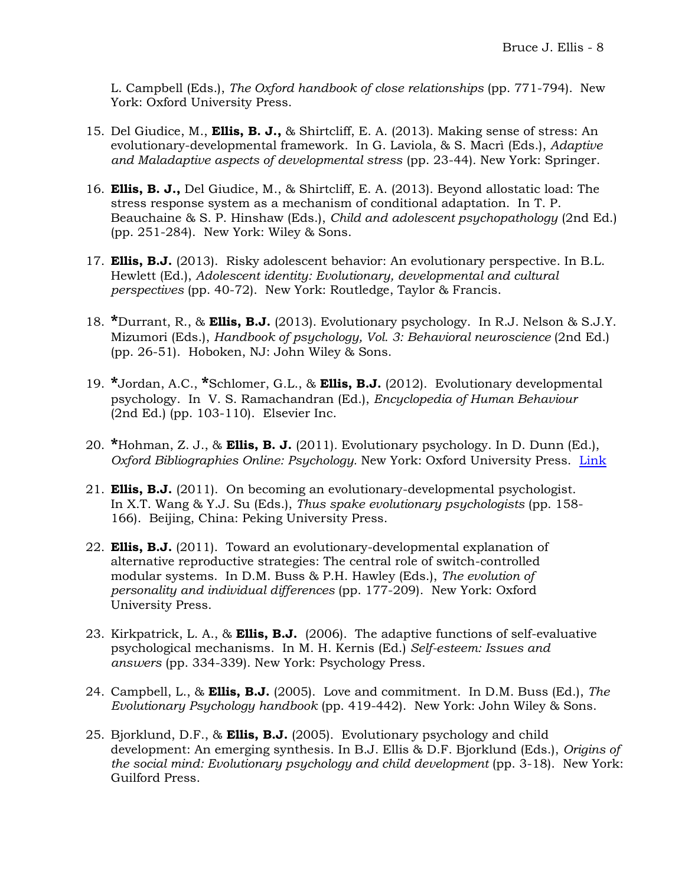L. Campbell (Eds.), *The Oxford handbook of close relationships* (pp. 771-794).New York: Oxford University Press.

- 15. Del Giudice, M., **Ellis, B. J.,** & Shirtcliff, E. A. (2013). Making sense of stress: An evolutionary-developmental framework. In G. Laviola, & S. Macrì (Eds.), *Adaptive and Maladaptive aspects of developmental stress* (pp. 23-44)*.* New York: Springer.
- 16. **Ellis, B. J.,** Del Giudice, M., & Shirtcliff, E. A. (2013). Beyond allostatic load: The stress response system as a mechanism of conditional adaptation. In T. P. Beauchaine & S. P. Hinshaw (Eds.), *Child and adolescent psychopathology* (2nd Ed.) (pp. 251-284). New York: Wiley & Sons.
- 17. **Ellis, B.J.** (2013). Risky adolescent behavior: An evolutionary perspective. In B.L. Hewlett (Ed.), *Adolescent identity: Evolutionary, developmental and cultural perspectives* (pp. 40-72). New York: Routledge, Taylor & Francis.
- 18. **\***Durrant, R., & **Ellis, B.J.** (2013). Evolutionary psychology. In R.J. Nelson & S.J.Y. Mizumori (Eds.), *Handbook of psychology, Vol. 3: Behavioral neuroscience* (2nd Ed.) (pp. 26-51). Hoboken, NJ: John Wiley & Sons.
- 19. **\***Jordan, A.C., **\***Schlomer, G.L., & **Ellis, B.J.** (2012). Evolutionary developmental psychology. In V. S. Ramachandran (Ed.), *Encyclopedia of Human Behaviour* (2nd Ed.) (pp. 103-110). Elsevier Inc.
- 20. **\***Hohman, Z. J., & **Ellis, B. J.** (2011)*.* Evolutionary psychology. In D. Dunn (Ed.), *Oxford Bibliographies Online: Psychology.* New York: Oxford University Press. [Link](http://www.oxfordbibliographiesonline.com/view/document/obo-9780199828340/obo-9780199828340-0025.xml?rskey=xjEFKx&result=20&q=)
- 21. **Ellis, B.J.** (2011). On becoming an evolutionary-developmental psychologist. In X.T. Wang & Y.J. Su (Eds.), *Thus spake evolutionary psychologists* (pp. 158- 166). Beijing, China: Peking University Press.
- 22. **Ellis, B.J.** (2011). Toward an evolutionary-developmental explanation of alternative reproductive strategies: The central role of switch-controlled modular systems. In D.M. Buss & P.H. Hawley (Eds.), *The evolution of personality and individual differences* (pp. 177-209). New York: Oxford University Press.
- 23. Kirkpatrick, L. A., & **Ellis, B.J.** (2006). The adaptive functions of self-evaluative psychological mechanisms. In M. H. Kernis (Ed.) *Self-esteem: Issues and answers* (pp. 334-339). New York: Psychology Press.
- 24. Campbell, L., & **Ellis, B.J.** (2005). Love and commitment. In D.M. Buss (Ed.), *The Evolutionary Psychology handbook* (pp. 419-442). New York: John Wiley & Sons.
- 25. Bjorklund, D.F., & **Ellis, B.J.** (2005). Evolutionary psychology and child development: An emerging synthesis. In B.J. Ellis & D.F. Bjorklund (Eds.), *Origins of the social mind: Evolutionary psychology and child development* (pp. 3-18). New York: Guilford Press.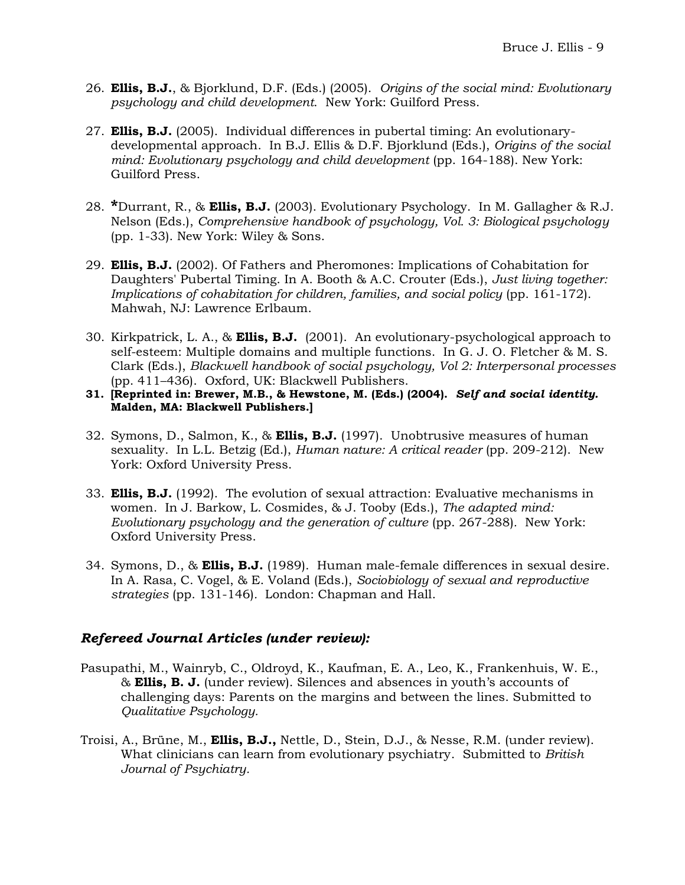- 26. **Ellis, B.J.**, & Bjorklund, D.F. (Eds.) (2005). *Origins of the social mind: Evolutionary psychology and child development*. New York: Guilford Press.
- 27. **Ellis, B.J.** (2005). Individual differences in pubertal timing: An evolutionarydevelopmental approach. In B.J. Ellis & D.F. Bjorklund (Eds.), *Origins of the social mind: Evolutionary psychology and child development* (pp. 164-188). New York: Guilford Press.
- 28. **\***Durrant, R., & **Ellis, B.J.** (2003). Evolutionary Psychology. In M. Gallagher & R.J. Nelson (Eds.), *Comprehensive handbook of psychology, Vol. 3: Biological psychology*  (pp. 1-33). New York: Wiley & Sons.
- 29. **Ellis, B.J.** (2002). Of Fathers and Pheromones: Implications of Cohabitation for Daughters' Pubertal Timing. In A. Booth & A.C. Crouter (Eds.), *Just living together: Implications of cohabitation for children, families, and social policy (pp. 161-172).* Mahwah, NJ: Lawrence Erlbaum.
- 30. Kirkpatrick, L. A., & **Ellis, B.J.** (2001). An evolutionary-psychological approach to self-esteem: Multiple domains and multiple functions. In G. J. O. Fletcher & M. S. Clark (Eds.), *Blackwell handbook of social psychology, Vol 2: Interpersonal processes* (pp. 411–436). Oxford, UK: Blackwell Publishers.
- **31. [Reprinted in: Brewer, M.B., & Hewstone, M. (Eds.) (2004).** *Self and social identity.* **Malden, MA: Blackwell Publishers.]**
- 32. Symons, D., Salmon, K., & **Ellis, B.J.** (1997). Unobtrusive measures of human sexuality. In L.L. Betzig (Ed.), *Human nature: A critical reader* (pp. 209-212). New York: Oxford University Press.
- 33. **Ellis, B.J.** (1992). The evolution of sexual attraction: Evaluative mechanisms in women. In J. Barkow, L. Cosmides, & J. Tooby (Eds.), *The adapted mind: Evolutionary psychology and the generation of culture* (pp. 267-288)*.* New York: Oxford University Press.
- 34. Symons, D., & **Ellis, B.J.** (1989). Human male-female differences in sexual desire. In A. Rasa, C. Vogel, & E. Voland (Eds.), *Sociobiology of sexual and reproductive strategies* (pp. 131-146)*.* London: Chapman and Hall.

#### *Refereed Journal Articles (under review):*

- Pasupathi, M., Wainryb, C., Oldroyd, K., Kaufman, E. A., Leo, K., Frankenhuis, W. E., & **Ellis, B. J.** (under review). Silences and absences in youth's accounts of challenging days: Parents on the margins and between the lines. Submitted to *Qualitative Psychology.*
- Troisi, A., Brüne, M., **Ellis, B.J.,** Nettle, D., Stein, D.J., & Nesse, R.M. (under review). What clinicians can learn from evolutionary psychiatry. Submitted to *British Journal of Psychiatry.*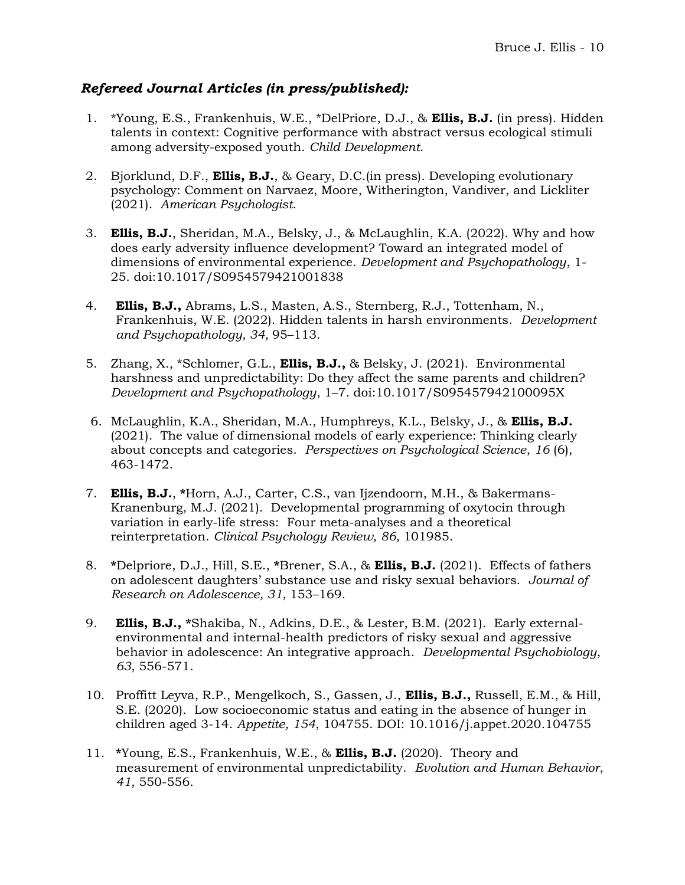# *Refereed Journal Articles (in press/published):*

- 1. \*Young, E.S., Frankenhuis, W.E., \*DelPriore, D.J., & **Ellis, B.J.** (in press). Hidden talents in context: Cognitive performance with abstract versus ecological stimuli among adversity-exposed youth. *Child Development*.
- 2. Bjorklund, D.F., **Ellis, B.J.**, & Geary, D.C.(in press). Developing evolutionary psychology: Comment on Narvaez, Moore, Witherington, Vandiver, and Lickliter (2021). *American Psychologist*.
- 3. **Ellis, B.J.**, Sheridan, M.A., Belsky, J., & McLaughlin, K.A. (2022). Why and how does early adversity influence development? Toward an integrated model of dimensions of environmental experience. *Development and Psychopathology*, 1- 25. doi:10.1017/S0954579421001838
- 4. **Ellis, B.J.,** Abrams, L.S., Masten, A.S., Sternberg, R.J., Tottenham, N., Frankenhuis, W.E. (2022). Hidden talents in harsh environments. *Development and Psychopathology, 34,* 95–113.
- 5. Zhang, X., \*Schlomer, G.L., **Ellis, B.J.,** & Belsky, J. (2021). Environmental harshness and unpredictability: Do they affect the same parents and children? *Development and Psychopathology*, 1–7. doi:10.1017/S095457942100095X
- 6. McLaughlin, K.A., Sheridan, M.A., Humphreys, K.L., Belsky, J., & **Ellis, B.J.** (2021). The value of dimensional models of early experience: Thinking clearly about concepts and categories. *Perspectives on Psychological Science*, *16* (6), 463-1472.
- 7. **Ellis, B.J.**, **\***Horn, A.J., Carter, C.S., van Ijzendoorn, M.H., & Bakermans-Kranenburg, M.J. (2021). Developmental programming of oxytocin through variation in early-life stress: Four meta-analyses and a theoretical reinterpretation. *Clinical Psychology Review, 86,* 101985.
- 8. **\***Delpriore, D.J., Hill, S.E., **\***Brener, S.A., & **Ellis, B.J.** (2021). Effects of fathers on adolescent daughters' substance use and risky sexual behaviors. *Journal of Research on Adolescence, 31,* 153–169.
- 9. **Ellis, B.J., \***Shakiba, N., Adkins, D.E., & Lester, B.M. (2021). Early externalenvironmental and internal-health predictors of risky sexual and aggressive behavior in adolescence: An integrative approach. *Developmental Psychobiology*, *63*, 556-571.
- 10. Proffitt Leyva, R.P., Mengelkoch, S., Gassen, J., **Ellis, B.J.,** Russell, E.M., & Hill, S.E. (2020). Low socioeconomic status and eating in the absence of hunger in children aged 3-14. *Appetite, 154*, 104755. DOI: 10.1016/j.appet.2020.104755
- 11. **\***Young, E.S., Frankenhuis, W.E., & **Ellis, B.J.** (2020). Theory and measurement of environmental unpredictability. *Evolution and Human Behavior*, *41*, 550-556.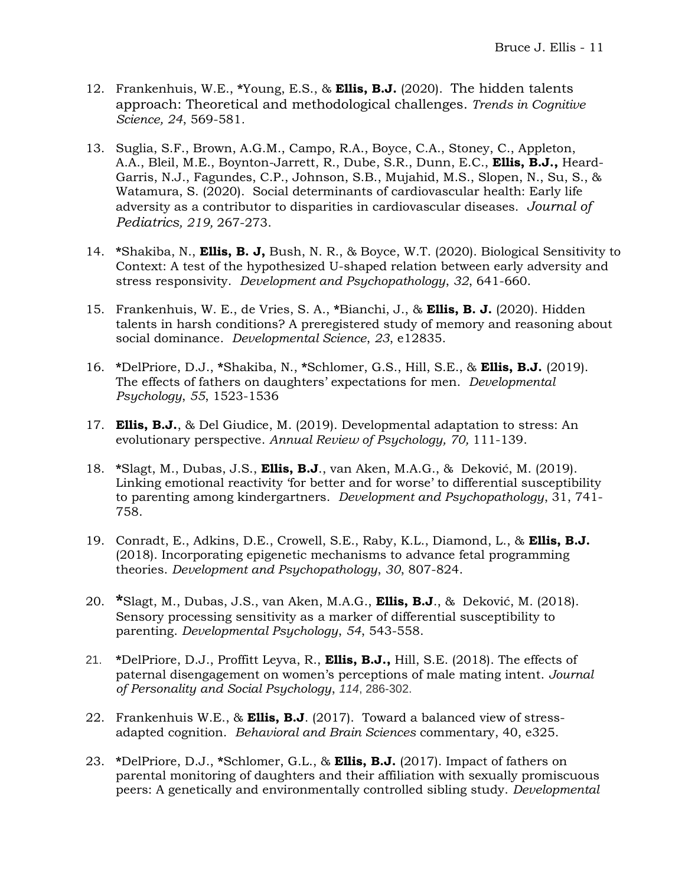- 12. Frankenhuis, W.E., **\***Young, E.S., & **Ellis, B.J.** (2020). The hidden talents approach: Theoretical and methodological challenges. *Trends in Cognitive Science, 24*, 569-581*.*
- 13. Suglia, S.F., Brown, A.G.M., Campo, R.A., Boyce, C.A., Stoney, C., Appleton, A.A., Bleil, M.E., Boynton-Jarrett, R., Dube, S.R., Dunn, E.C., **Ellis, B.J.,** Heard-Garris, N.J., Fagundes, C.P., Johnson, S.B., Mujahid, M.S., Slopen, N., Su, S., & Watamura, S. (2020). Social determinants of cardiovascular health: Early life adversity as a contributor to disparities in cardiovascular diseases. *Journal of Pediatrics, 219,* 267-273.
- 14. **\***Shakiba, N., **Ellis, B. J,** Bush, N. R., & Boyce, W.T. (2020). Biological Sensitivity to Context: A test of the hypothesized U-shaped relation between early adversity and stress responsivity. *Development and Psychopathology*, *32*, 641-660.
- 15. Frankenhuis, W. E., de Vries, S. A., **\***Bianchi, J., & **Ellis, B. J.** (2020). Hidden talents in harsh conditions? A preregistered study of memory and reasoning about social dominance. *Developmental Science*, *23*, e12835.
- 16. **\***DelPriore, D.J., **\***Shakiba, N., **\***Schlomer, G.S., Hill, S.E., & **Ellis, B.J.** (2019). The effects of fathers on daughters' expectations for men. *Developmental Psychology*, *55*, 1523-1536
- 17. **Ellis, B.J.**, & Del Giudice, M. (2019). Developmental adaptation to stress: An evolutionary perspective. *Annual Review of Psychology, 70,* 111-139.
- 18. **\***Slagt, M., Dubas, J.S., **Ellis, B.J**., van Aken, M.A.G., & Deković, M. (2019). Linking emotional reactivity 'for better and for worse' to differential susceptibility to parenting among kindergartners. *Development and Psychopathology*, 31, 741- 758.
- 19. Conradt, E., Adkins, D.E., Crowell, S.E., Raby, K.L., Diamond, L., & **Ellis, B.J.** (2018). Incorporating epigenetic mechanisms to advance fetal programming theories. *Development and Psychopathology*, *30*, 807-824.
- 20. **\***Slagt, M., Dubas, J.S., van Aken, M.A.G., **Ellis, B.J**., & Deković, M. (2018). Sensory processing sensitivity as a marker of differential susceptibility to parenting. *Developmental Psychology*, *54*, 543-558.
- 21. **\***DelPriore, D.J., Proffitt Leyva, R., **Ellis, B.J.,** Hill, S.E. (2018). The effects of paternal disengagement on women's perceptions of male mating intent. *Journal of Personality and Social Psychology*, *114*, 286-302.
- 22. Frankenhuis W.E., & **Ellis, B.J**. (2017). Toward a balanced view of stressadapted cognition. *Behavioral and Brain Sciences* commentary, 40, e325.
- 23. **\***DelPriore, D.J., **\***Schlomer, G.L., & **Ellis, B.J.** (2017). Impact of fathers on parental monitoring of daughters and their affiliation with sexually promiscuous peers: A genetically and environmentally controlled sibling study. *Developmental*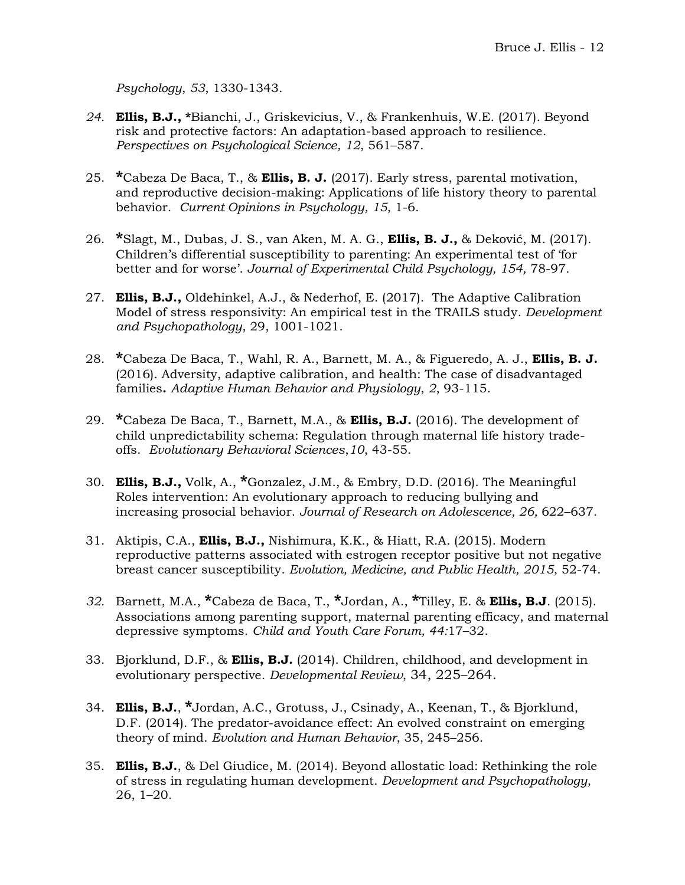*Psychology*, *53*, 1330-1343.

- *24.* **Ellis, B.J., \***Bianchi, J., Griskevicius, V., & Frankenhuis, W.E. (2017). Beyond risk and protective factors: An adaptation-based approach to resilience. *Perspectives on Psychological Science, 12*, 561–587.
- 25. **\***Cabeza De Baca, T., & **Ellis, B. J.** (2017). Early stress, parental motivation, and reproductive decision-making: Applications of life history theory to parental behavior. *Current Opinions in Psychology, 15*, 1-6.
- 26. **\***Slagt, M., Dubas, J. S., van Aken, M. A. G., **Ellis, B. J.,** & Deković, M. (2017). Children's differential susceptibility to parenting: An experimental test of 'for better and for worse'. *Journal of Experimental Child Psychology, 154,* 78-97*.*
- 27. **Ellis, B.J.,** Oldehinkel, A.J., & Nederhof, E. (2017). The Adaptive Calibration Model of stress responsivity: An empirical test in the TRAILS study. *Development and Psychopathology*, 29, 1001-1021.
- 28. **\***Cabeza De Baca, T., Wahl, R. A., Barnett, M. A., & Figueredo, A. J., **Ellis, B. J.** (2016). Adversity, adaptive calibration, and health: The case of disadvantaged families**.** *Adaptive Human Behavior and Physiology*, *2*, 93-115.
- 29. **\***Cabeza De Baca, T., Barnett, M.A., & **Ellis, B.J.** (2016). The development of child unpredictability schema: Regulation through maternal life history tradeoffs. *Evolutionary Behavioral Sciences*,*10*, 43-55.
- 30. **Ellis, B.J.,** Volk, A., **\***Gonzalez, J.M., & Embry, D.D. (2016). The Meaningful Roles intervention: An evolutionary approach to reducing bullying and increasing prosocial behavior. *Journal of Research on Adolescence, 26,* 622–637.
- 31. Aktipis, C.A., **Ellis, B.J.,** Nishimura, K.K., & Hiatt, R.A. (2015). Modern reproductive patterns associated with estrogen receptor positive but not negative breast cancer susceptibility. *Evolution, Medicine, and Public Health, 2015*, 52-74.
- *32.* Barnett, M.A., **\***Cabeza de Baca, T., **\***Jordan, A., **\***Tilley, E. & **Ellis, B.J**. (2015). Associations among parenting support, maternal parenting efficacy, and maternal depressive symptoms. *Child and Youth Care Forum, 44:*17–32.
- 33. Bjorklund, D.F., & **Ellis, B.J.** (2014). Children, childhood, and development in evolutionary perspective. *Developmental Review*, 34, 225–264.
- 34. **Ellis, B.J.**, **\***Jordan, A.C., Grotuss, J., Csinady, A., Keenan, T., & Bjorklund, D.F. (2014). The predator-avoidance effect: An evolved constraint on emerging theory of mind. *Evolution and Human Behavior*, 35, 245–256.
- 35. **Ellis, B.J.**, & Del Giudice, M. (2014). Beyond allostatic load: Rethinking the role of stress in regulating human development. *Development and Psychopathology,*  26, 1–20.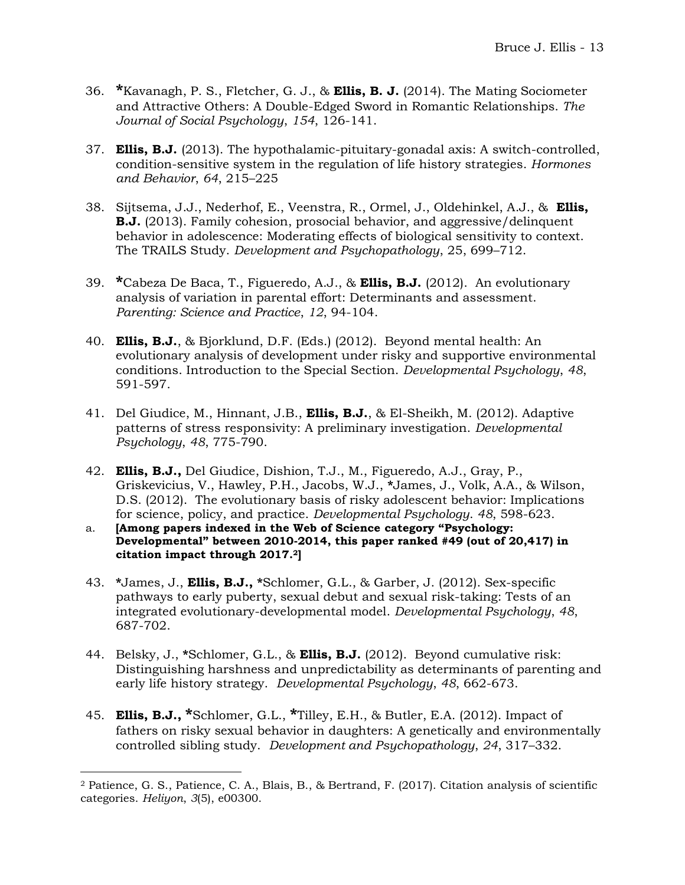- 36. **\***Kavanagh, P. S., Fletcher, G. J., & **Ellis, B. J.** (2014). The Mating Sociometer and Attractive Others: A Double-Edged Sword in Romantic Relationships. *The Journal of Social Psychology*, *154*, 126-141.
- 37. **Ellis, B.J.** (2013). The hypothalamic-pituitary-gonadal axis: A switch-controlled, condition-sensitive system in the regulation of life history strategies. *Hormones and Behavior*, *64*, 215–225
- 38. Sijtsema, J.J., Nederhof, E., Veenstra, R., Ormel, J., Oldehinkel, A.J., & **Ellis, B.J.** (2013). Family cohesion, prosocial behavior, and aggressive/delinquent behavior in adolescence: Moderating effects of biological sensitivity to context. The TRAILS Study. *Development and Psychopathology*, 25, 699–712.
- 39. **\***Cabeza De Baca, T., Figueredo, A.J., & **Ellis, B.J.** (2012). An evolutionary analysis of variation in parental effort: Determinants and assessment. *Parenting: Science and Practice*, *12*, 94-104.
- 40. **Ellis, B.J.**, & Bjorklund, D.F. (Eds.) (2012). Beyond mental health: An evolutionary analysis of development under risky and supportive environmental conditions. Introduction to the Special Section. *Developmental Psychology*, *48*, 591-597.
- 41. Del Giudice, M., Hinnant, J.B., **Ellis, B.J.**, & El-Sheikh, M. (2012). Adaptive patterns of stress responsivity: A preliminary investigation. *Developmental Psychology*, *48*, 775-790.
- 42. **Ellis, B.J.,** Del Giudice, Dishion, T.J., M., Figueredo, A.J., Gray, P., Griskevicius, V., Hawley, P.H., Jacobs, W.J., **\***James, J., Volk, A.A., & Wilson, D.S. (2012). The evolutionary basis of risky adolescent behavior: Implications for science, policy, and practice. *Developmental Psychology*. *48*, 598-623.
- a. **[Among papers indexed in the Web of Science category "Psychology: Developmental" between 2010-2014, this paper ranked #49 (out of 20,417) in citation impact through 2017. 2]**
- 43. **\***James, J., **Ellis, B.J., \***Schlomer, G.L., & Garber, J. (2012). Sex-specific pathways to early puberty, sexual debut and sexual risk-taking: Tests of an integrated evolutionary-developmental model. *Developmental Psychology*, *48*, 687-702.
- 44. Belsky, J., **\***Schlomer, G.L., & **Ellis, B.J.** (2012). Beyond cumulative risk: Distinguishing harshness and unpredictability as determinants of parenting and early life history strategy. *Developmental Psychology*, *48*, 662-673.
- 45. **Ellis, B.J., \***Schlomer, G.L., **\***Tilley, E.H., & Butler, E.A. (2012). Impact of fathers on risky sexual behavior in daughters: A genetically and environmentally controlled sibling study. *Development and Psychopathology*, *24*, 317–332.

 $\overline{a}$ 

<sup>2</sup> Patience, G. S., Patience, C. A., Blais, B., & Bertrand, F. (2017). Citation analysis of scientific categories. *Heliyon*, *3*(5), e00300.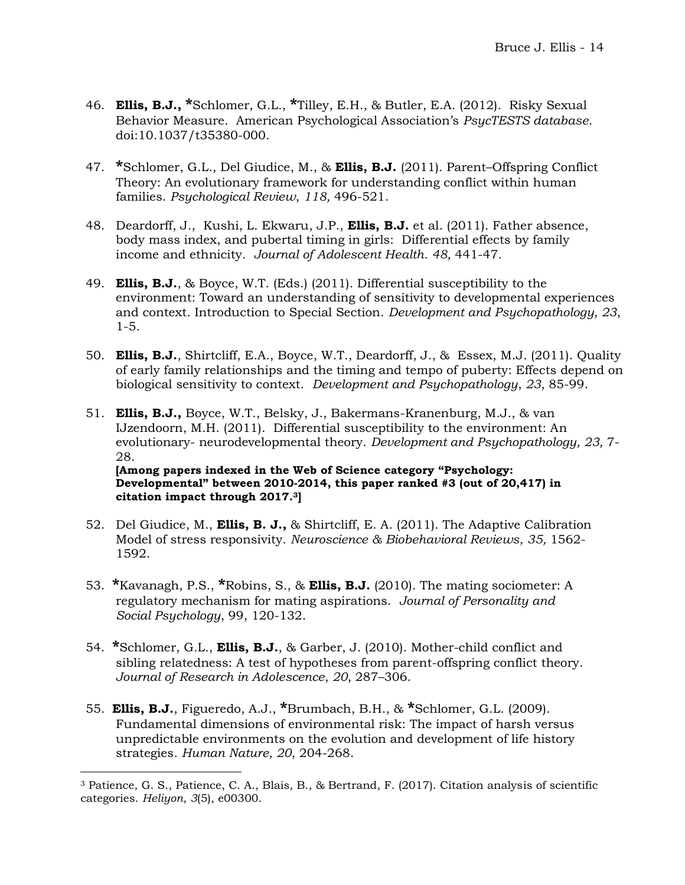- 46. **Ellis, B.J., \***Schlomer, G.L., **\***Tilley, E.H., & Butler, E.A. (2012). Risky Sexual Behavior Measure. American Psychological Association's *PsycTESTS database*. doi:10.1037/t35380-000.
- 47. **\***Schlomer, G.L., Del Giudice, M., & **Ellis, B.J.** (2011). Parent–Offspring Conflict Theory: An evolutionary framework for understanding conflict within human families. *Psychological Review*, *118,* 496-521.
- 48. Deardorff, J., Kushi, L. Ekwaru, J.P., **Ellis, B.J.** et al. (2011). Father absence, body mass index, and pubertal timing in girls: Differential effects by family income and ethnicity. *Journal of Adolescent Health*. *48,* 441-47.
- 49. **Ellis, B.J.**, & Boyce, W.T. (Eds.) (2011). Differential susceptibility to the environment: Toward an understanding of sensitivity to developmental experiences and context. Introduction to Special Section. *Development and Psychopathology, 23*, 1-5.
- 50. **Ellis, B.J.**, Shirtcliff, E.A., Boyce, W.T., Deardorff, J., & Essex, M.J. (2011). Quality of early family relationships and the timing and tempo of puberty: Effects depend on biological sensitivity to context. *Development and Psychopathology*, *23*, 85-99.
- 51. **Ellis, B.J.,** Boyce, W.T., Belsky, J., Bakermans-Kranenburg, M.J., & van IJzendoorn, M.H. (2011). Differential susceptibility to the environment: An evolutionary- neurodevelopmental theory. *Development and Psychopathology, 23,* 7- 28. **[Among papers indexed in the Web of Science category "Psychology: Developmental" between 2010-2014, this paper ranked #3 (out of 20,417) in citation impact through 2017. <sup>3</sup>]**
- 52. Del Giudice, M., **Ellis, B. J.,** & Shirtcliff, E. A. (2011). The Adaptive Calibration Model of stress responsivity. *Neuroscience & Biobehavioral Reviews*, *35,* 1562- 1592.
- 53. **\***Kavanagh, P.S., **\***Robins, S., & **Ellis, B.J.** (2010). The mating sociometer: A regulatory mechanism for mating aspirations. *Journal of Personality and Social Psychology*, 99, 120-132.
- 54. **\***Schlomer, G.L., **Ellis, B.J.**, & Garber, J. (2010). Mother-child conflict and sibling relatedness: A test of hypotheses from parent-offspring conflict theory. *Journal of Research in Adolescence*, *20*, 287–306.
- 55. **Ellis, B.J.**, Figueredo, A.J., **\***Brumbach, B.H., & **\***Schlomer, G.L. (2009). Fundamental dimensions of environmental risk: The impact of harsh versus unpredictable environments on the evolution and development of life history strategies. *Human Nature, 20*, 204-268.

 $\overline{a}$ 

<sup>3</sup> Patience, G. S., Patience, C. A., Blais, B., & Bertrand, F. (2017). Citation analysis of scientific categories. *Heliyon*, *3*(5), e00300.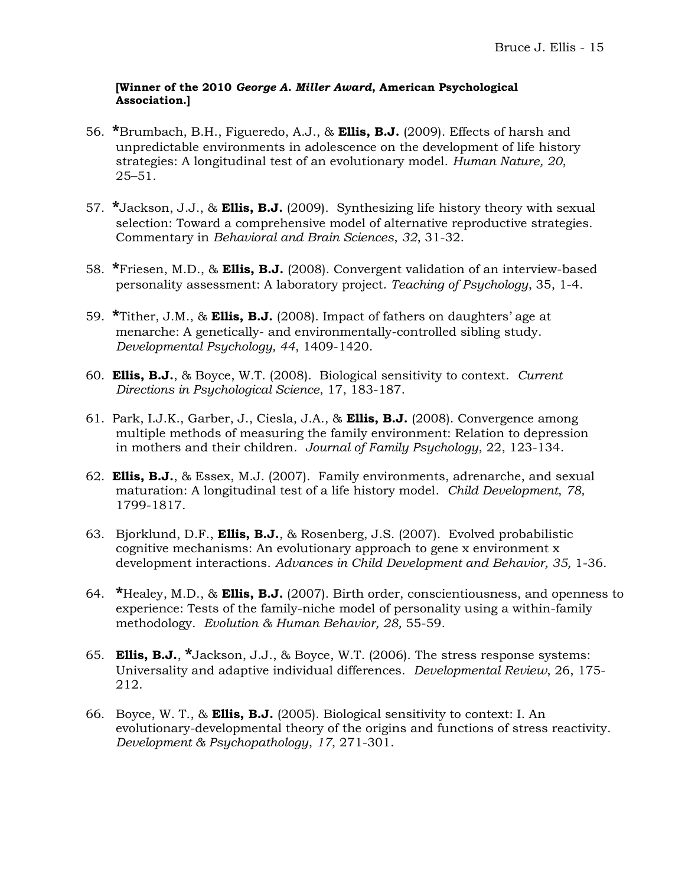#### **[Winner of the 2010** *George A. Miller Award***, American Psychological Association.]**

- 56. **\***Brumbach, B.H., Figueredo, A.J., & **Ellis, B.J.** (2009). Effects of harsh and unpredictable environments in adolescence on the development of life history strategies: A longitudinal test of an evolutionary model. *Human Nature, 20*, 25–51.
- 57. **\***Jackson, J.J., & **Ellis, B.J.** (2009). Synthesizing life history theory with sexual selection: Toward a comprehensive model of alternative reproductive strategies. Commentary in *Behavioral and Brain Sciences*, *32*, 31-32.
- 58. **\***Friesen, M.D., & **Ellis, B.J.** (2008). Convergent validation of an interview-based personality assessment: A laboratory project. *Teaching of Psychology*, 35, 1-4.
- 59. **\***Tither, J.M., & **Ellis, B.J.** (2008). Impact of fathers on daughters' age at menarche: A genetically- and environmentally-controlled sibling study. *Developmental Psychology, 44*, 1409-1420.
- 60. **Ellis, B.J.**, & Boyce, W.T. (2008). Biological sensitivity to context. *Current Directions in Psychological Science*, 17, 183-187.
- 61. Park, I.J.K., Garber, J., Ciesla, J.A., & **Ellis, B.J.** (2008). Convergence among multiple methods of measuring the family environment: Relation to depression in mothers and their children. *Journal of Family Psychology*, 22, 123-134.
- 62. **Ellis, B.J.**, & Essex, M.J. (2007). Family environments, adrenarche, and sexual maturation: A longitudinal test of a life history model. *Child Development*, *78,*  1799-1817.
- 63. Bjorklund, D.F., **Ellis, B.J.**, & Rosenberg, J.S. (2007). Evolved probabilistic cognitive mechanisms: An evolutionary approach to gene x environment x development interactions. *Advances in Child Development and Behavior, 35,* 1-36.
- 64. **\***Healey, M.D., & **Ellis, B.J.** (2007). Birth order, conscientiousness, and openness to experience: Tests of the family-niche model of personality using a within-family methodology. *Evolution & Human Behavior, 28,* 55-59.
- 65. **Ellis, B.J.**, **\***Jackson, J.J., & Boyce, W.T. (2006). The stress response systems: Universality and adaptive individual differences. *Developmental Review*, 26, 175- 212.
- 66. Boyce, W. T., & **Ellis, B.J.** (2005). Biological sensitivity to context: I. An evolutionary-developmental theory of the origins and functions of stress reactivity. *Development & Psychopathology*, *17*, 271-301.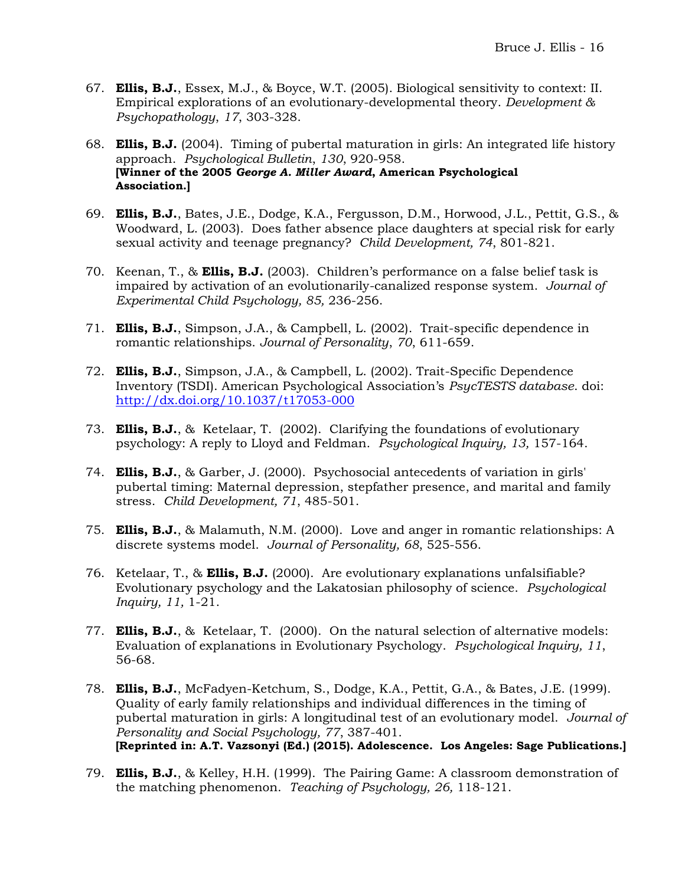- 67. **Ellis, B.J.**, Essex, M.J., & Boyce, W.T. (2005). Biological sensitivity to context: II. Empirical explorations of an evolutionary-developmental theory. *Development & Psychopathology*, *17*, 303-328.
- 68. **Ellis, B.J.** (2004). Timing of pubertal maturation in girls: An integrated life history approach. *Psychological Bulletin*, *130*, 920-958. **[Winner of the 2005** *George A. Miller Award***, American Psychological Association.]**
- 69. **Ellis, B.J.**, Bates, J.E., Dodge, K.A., Fergusson, D.M., Horwood, J.L., Pettit, G.S., & Woodward, L. (2003). Does father absence place daughters at special risk for early sexual activity and teenage pregnancy? *Child Development, 74*, 801-821.
- 70. Keenan, T., & **Ellis, B.J.** (2003). Children's performance on a false belief task is impaired by activation of an evolutionarily-canalized response system. *Journal of Experimental Child Psychology, 85,* 236-256.
- 71. **Ellis, B.J.**, Simpson, J.A., & Campbell, L. (2002). Trait-specific dependence in romantic relationships. *Journal of Personality*, *70*, 611-659.
- 72. **Ellis, B.J.**, Simpson, J.A., & Campbell, L. (2002). Trait-Specific Dependence Inventory (TSDI). American Psychological Association's *PsycTESTS database*. doi: <http://dx.doi.org/10.1037/t17053-000>
- 73. **Ellis, B.J.**, & Ketelaar, T. (2002). Clarifying the foundations of evolutionary psychology: A reply to Lloyd and Feldman. *Psychological Inquiry, 13,* 157-164.
- 74. **Ellis, B.J.**, & Garber, J. (2000). Psychosocial antecedents of variation in girls' pubertal timing: Maternal depression, stepfather presence, and marital and family stress. *Child Development, 71*, 485-501.
- 75. **Ellis, B.J.**, & Malamuth, N.M. (2000). Love and anger in romantic relationships: A discrete systems model. *Journal of Personality, 68*, 525-556.
- 76. Ketelaar, T., & **Ellis, B.J.** (2000). Are evolutionary explanations unfalsifiable? Evolutionary psychology and the Lakatosian philosophy of science. *Psychological Inquiry, 11,* 1-21.
- 77. **Ellis, B.J.**, & Ketelaar, T. (2000). On the natural selection of alternative models: Evaluation of explanations in Evolutionary Psychology. *Psychological Inquiry, 11*, 56-68.
- 78. **Ellis, B.J.**, McFadyen-Ketchum, S., Dodge, K.A., Pettit, G.A., & Bates, J.E. (1999). Quality of early family relationships and individual differences in the timing of pubertal maturation in girls: A longitudinal test of an evolutionary model. *Journal of Personality and Social Psychology, 77*, 387-401. **[Reprinted in: A.T. Vazsonyi (Ed.) (2015). Adolescence. Los Angeles: Sage Publications.]**
- 79. **Ellis, B.J.**, & Kelley, H.H. (1999). The Pairing Game: A classroom demonstration of the matching phenomenon. *Teaching of Psychology, 26,* 118-121.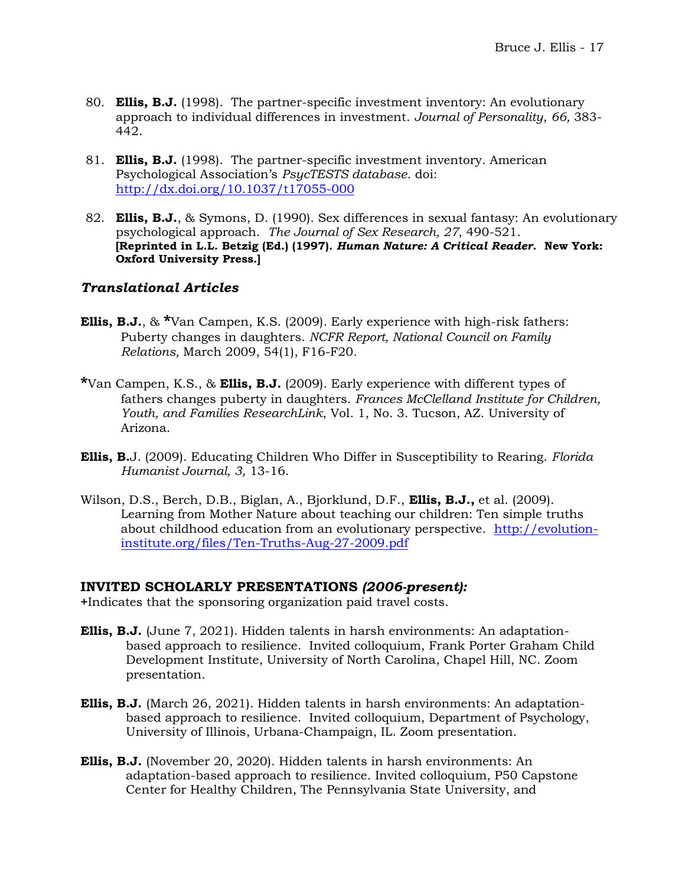- 80. **Ellis, B.J.** (1998). The partner-specific investment inventory: An evolutionary approach to individual differences in investment. *Journal of Personality*, *66,* 383- 442.
- 81. **Ellis, B.J.** (1998). The partner-specific investment inventory. American Psychological Association's *PsycTESTS database*. doi: [http://dx.doi.org/10.1037/t17055-000](http://psycnet.apa.org/doi/10.1037/t17055-000.search)
- 82. **Ellis, B.J.**, & Symons, D. (1990). Sex differences in sexual fantasy: An evolutionary psychological approach. *The Journal of Sex Research, 27,* 490-521. **[Reprinted in L.L. Betzig (Ed.) (1997).** *Human Nature: A Critical Reader***. New York: Oxford University Press.]**

# *Translational Articles*

- **Ellis, B.J.**, & **\***Van Campen, K.S. (2009). Early experience with high-risk fathers: Puberty changes in daughters. *NCFR Report, National Council on Family Relations,* March 2009, 54(1), F16-F20.
- **\***Van Campen, K.S., & **Ellis, B.J.** (2009). Early experience with different types of fathers changes puberty in daughters. *Frances McClelland Institute for Children, Youth, and Families ResearchLink*, Vol. 1, No. 3. Tucson, AZ. University of Arizona.
- **Ellis, B.**J. (2009). Educating Children Who Differ in Susceptibility to Rearing. *Florida Humanist Journal, 3,* 13-16.
- Wilson, D.S., Berch, D.B., Biglan, A., Bjorklund, D.F., **Ellis, B.J.,** et al. (2009). Learning from Mother Nature about teaching our children: Ten simple truths about childhood education from an evolutionary perspective. [http://evolution](http://evolution-institute.org/files/Ten-Truths-Aug-27-2009.pdf)[institute.org/files/Ten-Truths-Aug-27-2009.pdf](http://evolution-institute.org/files/Ten-Truths-Aug-27-2009.pdf)

# **INVITED SCHOLARLY PRESENTATIONS** *(2006-present):*

**+**Indicates that the sponsoring organization paid travel costs.

- **Ellis, B.J.** (June 7, 2021). Hidden talents in harsh environments: An adaptationbased approach to resilience. Invited colloquium, Frank Porter Graham Child Development Institute, University of North Carolina, Chapel Hill, NC. Zoom presentation.
- **Ellis, B.J.** (March 26, 2021). Hidden talents in harsh environments: An adaptationbased approach to resilience. Invited colloquium, Department of Psychology, University of Illinois, Urbana-Champaign, IL. Zoom presentation.
- **Ellis, B.J.** (November 20, 2020). Hidden talents in harsh environments: An adaptation-based approach to resilience. Invited colloquium, P50 Capstone Center for Healthy Children, The Pennsylvania State University, and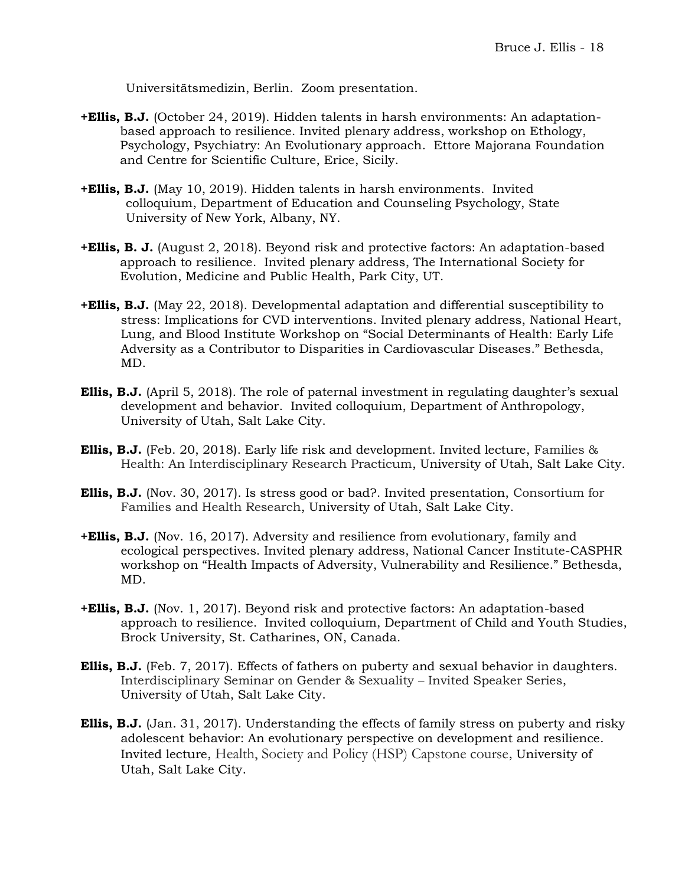Universitätsmedizin, Berlin. Zoom presentation.

- **+Ellis, B.J.** (October 24, 2019). Hidden talents in harsh environments: An adaptationbased approach to resilience. Invited plenary address, workshop on Ethology, Psychology, Psychiatry: An Evolutionary approach. Ettore Majorana Foundation and Centre for Scientific Culture, Erice, Sicily.
- **+Ellis, B.J.** (May 10, 2019). Hidden talents in harsh environments. Invited colloquium, Department of Education and Counseling Psychology, State University of New York, Albany, NY.
- **+Ellis, B. J.** (August 2, 2018). Beyond risk and protective factors: An adaptation-based approach to resilience. Invited plenary address, The International Society for Evolution, Medicine and Public Health, Park City, UT.
- **+Ellis, B.J.** (May 22, 2018). Developmental adaptation and differential susceptibility to stress: Implications for CVD interventions. Invited plenary address, National Heart, Lung, and Blood Institute Workshop on "Social Determinants of Health: Early Life Adversity as a Contributor to Disparities in Cardiovascular Diseases." Bethesda, MD.
- **Ellis, B.J.** (April 5, 2018). The role of paternal investment in regulating daughter's sexual development and behavior. Invited colloquium, Department of Anthropology, University of Utah, Salt Lake City.
- **Ellis, B.J.** (Feb. 20, 2018). Early life risk and development. Invited lecture, Families & Health: An Interdisciplinary Research Practicum, University of Utah, Salt Lake City.
- **Ellis, B.J.** (Nov. 30, 2017). Is stress good or bad?. Invited presentation, Consortium for Families and Health Research, University of Utah, Salt Lake City.
- **+Ellis, B.J.** (Nov. 16, 2017). Adversity and resilience from evolutionary, family and ecological perspectives. Invited plenary address, National Cancer Institute-CASPHR workshop on "Health Impacts of Adversity, Vulnerability and Resilience." Bethesda, MD.
- **+Ellis, B.J.** (Nov. 1, 2017). Beyond risk and protective factors: An adaptation-based approach to resilience. Invited colloquium, Department of Child and Youth Studies, Brock University, St. Catharines, ON, Canada.
- **Ellis, B.J.** (Feb. 7, 2017). Effects of fathers on puberty and sexual behavior in daughters. Interdisciplinary Seminar on Gender & Sexuality – Invited Speaker Series, University of Utah, Salt Lake City.
- **Ellis, B.J.** (Jan. 31, 2017). Understanding the effects of family stress on puberty and risky adolescent behavior: An evolutionary perspective on development and resilience. Invited lecture, Health, Society and Policy (HSP) Capstone course, University of Utah, Salt Lake City.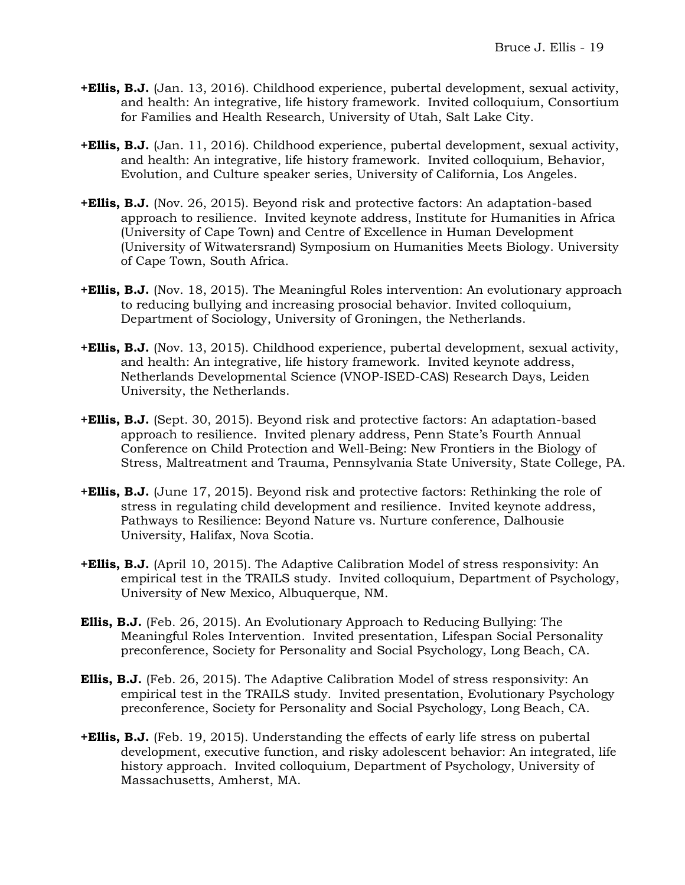- **+Ellis, B.J.** (Jan. 13, 2016). Childhood experience, pubertal development, sexual activity, and health: An integrative, life history framework. Invited colloquium, Consortium for Families and Health Research, University of Utah, Salt Lake City.
- **+Ellis, B.J.** (Jan. 11, 2016). Childhood experience, pubertal development, sexual activity, and health: An integrative, life history framework. Invited colloquium, Behavior, Evolution, and Culture speaker series, University of California, Los Angeles.
- **+Ellis, B.J.** (Nov. 26, 2015). Beyond risk and protective factors: An adaptation-based approach to resilience. Invited keynote address, Institute for Humanities in Africa (University of Cape Town) and Centre of Excellence in Human Development (University of Witwatersrand) Symposium on Humanities Meets Biology. University of Cape Town, South Africa.
- **+Ellis, B.J.** (Nov. 18, 2015). The Meaningful Roles intervention: An evolutionary approach to reducing bullying and increasing prosocial behavior. Invited colloquium, Department of Sociology, University of Groningen, the Netherlands.
- **+Ellis, B.J.** (Nov. 13, 2015). Childhood experience, pubertal development, sexual activity, and health: An integrative, life history framework. Invited keynote address, Netherlands Developmental Science (VNOP-ISED-CAS) Research Days, Leiden University, the Netherlands.
- **+Ellis, B.J.** (Sept. 30, 2015). Beyond risk and protective factors: An adaptation-based approach to resilience. Invited plenary address, Penn State's Fourth Annual Conference on Child Protection and Well-Being: New Frontiers in the Biology of Stress, Maltreatment and Trauma, Pennsylvania State University, State College, PA.
- **+Ellis, B.J.** (June 17, 2015). Beyond risk and protective factors: Rethinking the role of stress in regulating child development and resilience. Invited keynote address, Pathways to Resilience: Beyond Nature vs. Nurture conference, Dalhousie University, Halifax, Nova Scotia.
- **+Ellis, B.J.** (April 10, 2015). The Adaptive Calibration Model of stress responsivity: An empirical test in the TRAILS study. Invited colloquium, Department of Psychology, University of New Mexico, Albuquerque, NM.
- **Ellis, B.J.** (Feb. 26, 2015). An Evolutionary Approach to Reducing Bullying: The Meaningful Roles Intervention. Invited presentation, Lifespan Social Personality preconference, Society for Personality and Social Psychology, Long Beach, CA.
- **Ellis, B.J.** (Feb. 26, 2015). The Adaptive Calibration Model of stress responsivity: An empirical test in the TRAILS study. Invited presentation, Evolutionary Psychology preconference, Society for Personality and Social Psychology, Long Beach, CA.
- **+Ellis, B.J.** (Feb. 19, 2015). Understanding the effects of early life stress on pubertal development, executive function, and risky adolescent behavior: An integrated, life history approach. Invited colloquium, Department of Psychology, University of Massachusetts, Amherst, MA.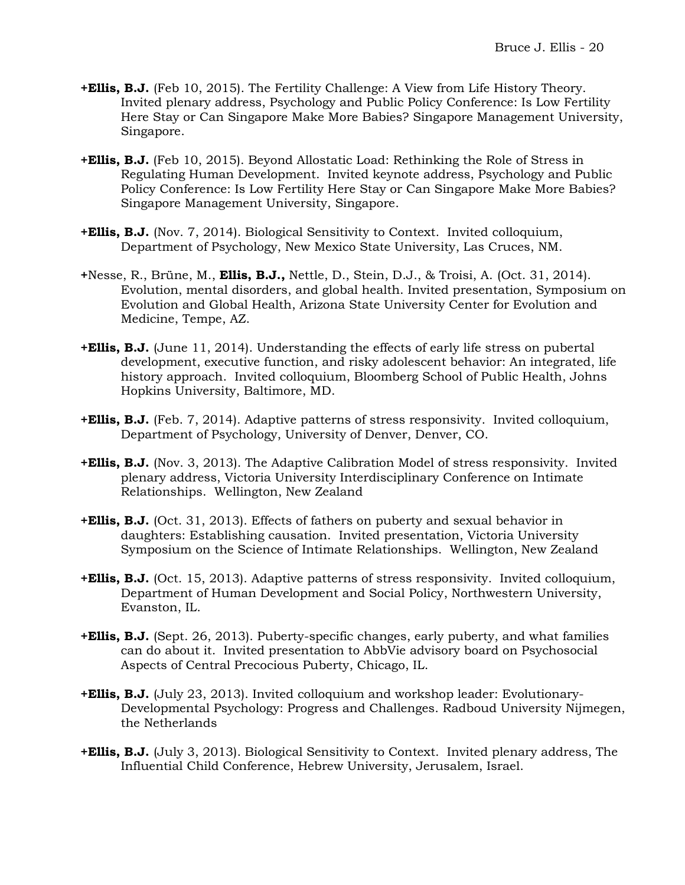- **+Ellis, B.J.** (Feb 10, 2015). The Fertility Challenge: A View from Life History Theory. Invited plenary address, Psychology and Public Policy Conference: Is Low Fertility Here Stay or Can Singapore Make More Babies? Singapore Management University, Singapore.
- **+Ellis, B.J.** (Feb 10, 2015). Beyond Allostatic Load: Rethinking the Role of Stress in Regulating Human Development. Invited keynote address, Psychology and Public Policy Conference: Is Low Fertility Here Stay or Can Singapore Make More Babies? Singapore Management University, Singapore.
- **+Ellis, B.J.** (Nov. 7, 2014). Biological Sensitivity to Context. Invited colloquium, Department of Psychology, New Mexico State University, Las Cruces, NM.
- **+**Nesse, R., Brüne, M., **Ellis, B.J.,** Nettle, D., Stein, D.J., & Troisi, A. (Oct. 31, 2014). Evolution, mental disorders, and global health. Invited presentation, Symposium on Evolution and Global Health, Arizona State University Center for Evolution and Medicine, Tempe, AZ.
- **+Ellis, B.J.** (June 11, 2014). Understanding the effects of early life stress on pubertal development, executive function, and risky adolescent behavior: An integrated, life history approach. Invited colloquium, Bloomberg School of Public Health, Johns Hopkins University, Baltimore, MD.
- **+Ellis, B.J.** (Feb. 7, 2014). Adaptive patterns of stress responsivity. Invited colloquium, Department of Psychology, University of Denver, Denver, CO.
- **+Ellis, B.J.** (Nov. 3, 2013). The Adaptive Calibration Model of stress responsivity. Invited plenary address, Victoria University Interdisciplinary Conference on Intimate Relationships. Wellington, New Zealand
- **+Ellis, B.J.** (Oct. 31, 2013). Effects of fathers on puberty and sexual behavior in daughters: Establishing causation. Invited presentation, Victoria University Symposium on the Science of Intimate Relationships. Wellington, New Zealand
- **+Ellis, B.J.** (Oct. 15, 2013). Adaptive patterns of stress responsivity. Invited colloquium, Department of Human Development and Social Policy, Northwestern University, Evanston, IL.
- **+Ellis, B.J.** (Sept. 26, 2013). Puberty-specific changes, early puberty, and what families can do about it. Invited presentation to AbbVie advisory board on Psychosocial Aspects of Central Precocious Puberty, Chicago, IL.
- **+Ellis, B.J.** (July 23, 2013). Invited colloquium and workshop leader: Evolutionary-Developmental Psychology: Progress and Challenges. Radboud University Nijmegen, the Netherlands
- **+Ellis, B.J.** (July 3, 2013). Biological Sensitivity to Context. Invited plenary address, The Influential Child Conference, Hebrew University, Jerusalem, Israel.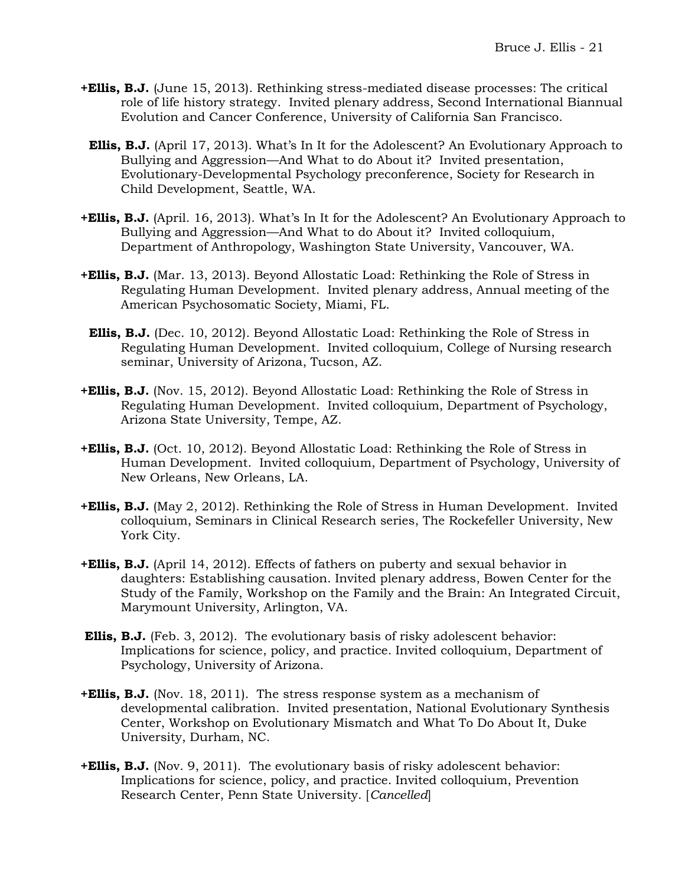- **+Ellis, B.J.** (June 15, 2013). Rethinking stress-mediated disease processes: The critical role of life history strategy. Invited plenary address, Second International Biannual Evolution and Cancer Conference, University of California San Francisco.
- **Ellis, B.J.** (April 17, 2013). What's In It for the Adolescent? An Evolutionary Approach to Bullying and Aggression—And What to do About it? Invited presentation, Evolutionary-Developmental Psychology preconference, Society for Research in Child Development, Seattle, WA.
- **+Ellis, B.J.** (April. 16, 2013). What's In It for the Adolescent? An Evolutionary Approach to Bullying and Aggression—And What to do About it? Invited colloquium, Department of Anthropology, Washington State University, Vancouver, WA.
- **+Ellis, B.J.** (Mar. 13, 2013). Beyond Allostatic Load: Rethinking the Role of Stress in Regulating Human Development. Invited plenary address, Annual meeting of the American Psychosomatic Society, Miami, FL.
- **Ellis, B.J.** (Dec. 10, 2012). Beyond Allostatic Load: Rethinking the Role of Stress in Regulating Human Development. Invited colloquium, College of Nursing research seminar, University of Arizona, Tucson, AZ.
- **+Ellis, B.J.** (Nov. 15, 2012). Beyond Allostatic Load: Rethinking the Role of Stress in Regulating Human Development. Invited colloquium, Department of Psychology, Arizona State University, Tempe, AZ.
- **+Ellis, B.J.** (Oct. 10, 2012). Beyond Allostatic Load: Rethinking the Role of Stress in Human Development. Invited colloquium, Department of Psychology, University of New Orleans, New Orleans, LA.
- **+Ellis, B.J.** (May 2, 2012). Rethinking the Role of Stress in Human Development. Invited colloquium, Seminars in Clinical Research series, The Rockefeller University, New York City.
- **+Ellis, B.J.** (April 14, 2012). Effects of fathers on puberty and sexual behavior in daughters: Establishing causation. Invited plenary address, Bowen Center for the Study of the Family, Workshop on the Family and the Brain: An Integrated Circuit, Marymount University, Arlington, VA.
- **Ellis, B.J.** (Feb. 3, 2012). The evolutionary basis of risky adolescent behavior: Implications for science, policy, and practice. Invited colloquium, Department of Psychology, University of Arizona.
- **+Ellis, B.J.** (Nov. 18, 2011). The stress response system as a mechanism of developmental calibration. Invited presentation, National Evolutionary Synthesis Center, Workshop on Evolutionary Mismatch and What To Do About It, Duke University, Durham, NC.
- **+Ellis, B.J.** (Nov. 9, 2011). The evolutionary basis of risky adolescent behavior: Implications for science, policy, and practice. Invited colloquium, Prevention Research Center, Penn State University. [*Cancelled*]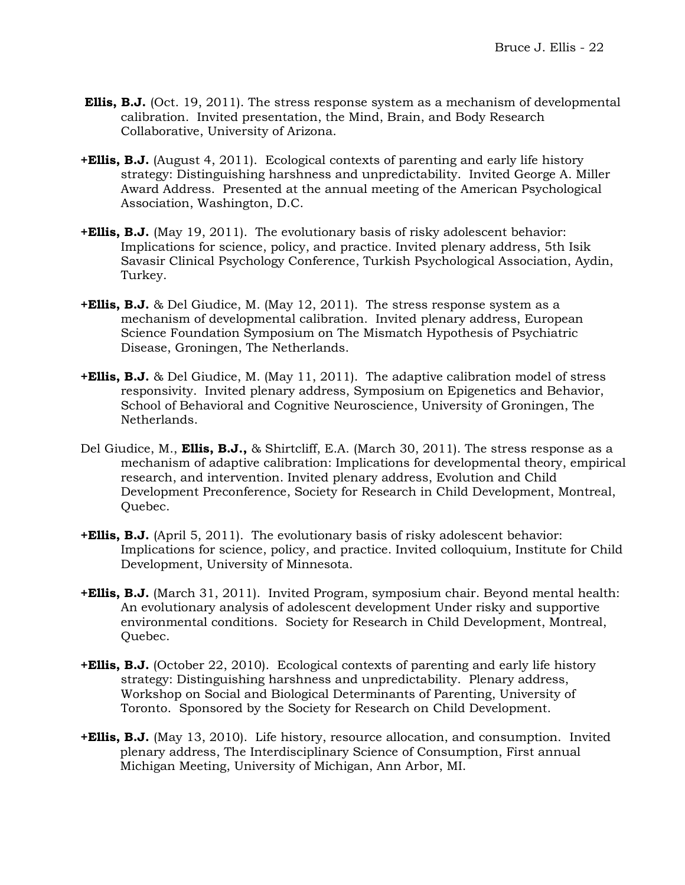- **Ellis, B.J.** (Oct. 19, 2011). The stress response system as a mechanism of developmental calibration. Invited presentation, the Mind, Brain, and Body Research Collaborative, University of Arizona.
- **+Ellis, B.J.** (August 4, 2011). Ecological contexts of parenting and early life history strategy: Distinguishing harshness and unpredictability. Invited George A. Miller Award Address. Presented at the annual meeting of the American Psychological Association, Washington, D.C.
- **+Ellis, B.J.** (May 19, 2011). The evolutionary basis of risky adolescent behavior: Implications for science, policy, and practice. Invited plenary address, 5th Isik Savasir Clinical Psychology Conference, Turkish Psychological Association, Aydin, Turkey.
- **+Ellis, B.J.** & Del Giudice, M. (May 12, 2011). The stress response system as a mechanism of developmental calibration. Invited plenary address, European Science Foundation Symposium on The Mismatch Hypothesis of Psychiatric Disease, Groningen, The Netherlands.
- **+Ellis, B.J.** & Del Giudice, M. (May 11, 2011). The adaptive calibration model of stress responsivity. Invited plenary address, Symposium on Epigenetics and Behavior, School of Behavioral and Cognitive Neuroscience, University of Groningen, The Netherlands.
- Del Giudice, M., **Ellis, B.J.,** & Shirtcliff, E.A. (March 30, 2011). The stress response as a mechanism of adaptive calibration: Implications for developmental theory, empirical research, and intervention. Invited plenary address, Evolution and Child Development Preconference, Society for Research in Child Development, Montreal, Quebec.
- **+Ellis, B.J.** (April 5, 2011). The evolutionary basis of risky adolescent behavior: Implications for science, policy, and practice. Invited colloquium, Institute for Child Development, University of Minnesota.
- **+Ellis, B.J.** (March 31, 2011). Invited Program, symposium chair. Beyond mental health: An evolutionary analysis of adolescent development Under risky and supportive environmental conditions. Society for Research in Child Development, Montreal, Quebec.
- **+Ellis, B.J.** (October 22, 2010). Ecological contexts of parenting and early life history strategy: Distinguishing harshness and unpredictability. Plenary address, Workshop on Social and Biological Determinants of Parenting, University of Toronto. Sponsored by the Society for Research on Child Development.
- **+Ellis, B.J.** (May 13, 2010). Life history, resource allocation, and consumption. Invited plenary address, The Interdisciplinary Science of Consumption, First annual Michigan Meeting, University of Michigan, Ann Arbor, MI.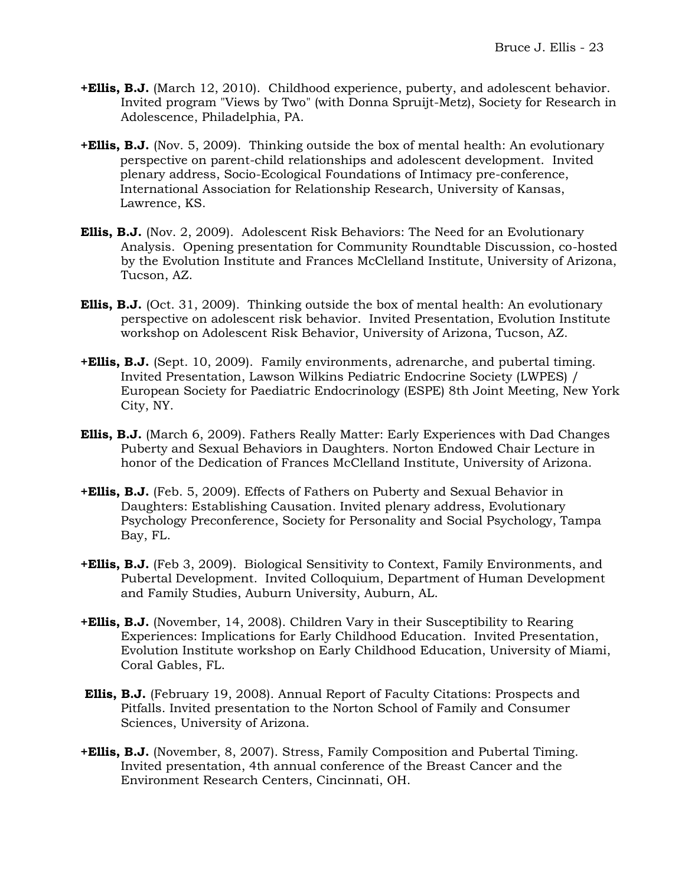- **+Ellis, B.J.** (March 12, 2010). Childhood experience, puberty, and adolescent behavior. Invited program "Views by Two" (with Donna Spruijt-Metz), Society for Research in Adolescence, Philadelphia, PA.
- **+Ellis, B.J.** (Nov. 5, 2009). Thinking outside the box of mental health: An evolutionary perspective on parent-child relationships and adolescent development. Invited plenary address, Socio-Ecological Foundations of Intimacy pre-conference, International Association for Relationship Research, University of Kansas, Lawrence, KS.
- **Ellis, B.J.** (Nov. 2, 2009). Adolescent Risk Behaviors: The Need for an Evolutionary Analysis. Opening presentation for Community Roundtable Discussion, co-hosted by the Evolution Institute and Frances McClelland Institute, University of Arizona, Tucson, AZ.
- **Ellis, B.J.** (Oct. 31, 2009). Thinking outside the box of mental health: An evolutionary perspective on adolescent risk behavior. Invited Presentation, Evolution Institute workshop on Adolescent Risk Behavior, University of Arizona, Tucson, AZ.
- **+Ellis, B.J.** (Sept. 10, 2009). Family environments, adrenarche, and pubertal timing. Invited Presentation, Lawson Wilkins Pediatric Endocrine Society (LWPES) / European Society for Paediatric Endocrinology (ESPE) 8th Joint Meeting, New York City, NY.
- **Ellis, B.J.** (March 6, 2009). Fathers Really Matter: Early Experiences with Dad Changes Puberty and Sexual Behaviors in Daughters. Norton Endowed Chair Lecture in honor of the Dedication of Frances McClelland Institute, University of Arizona.
- **+Ellis, B.J.** (Feb. 5, 2009). Effects of Fathers on Puberty and Sexual Behavior in Daughters: Establishing Causation. Invited plenary address, Evolutionary Psychology Preconference, Society for Personality and Social Psychology, Tampa Bay, FL.
- **+Ellis, B.J.** (Feb 3, 2009). Biological Sensitivity to Context, Family Environments, and Pubertal Development. Invited Colloquium, Department of Human Development and Family Studies, Auburn University, Auburn, AL.
- **+Ellis, B.J.** (November, 14, 2008). Children Vary in their Susceptibility to Rearing Experiences: Implications for Early Childhood Education. Invited Presentation, Evolution Institute workshop on Early Childhood Education, University of Miami, Coral Gables, FL.
- **Ellis, B.J.** (February 19, 2008). Annual Report of Faculty Citations: Prospects and Pitfalls. Invited presentation to the Norton School of Family and Consumer Sciences, University of Arizona.
- **+Ellis, B.J.** (November, 8, 2007). Stress, Family Composition and Pubertal Timing. Invited presentation, 4th annual conference of the Breast Cancer and the Environment Research Centers, Cincinnati, OH.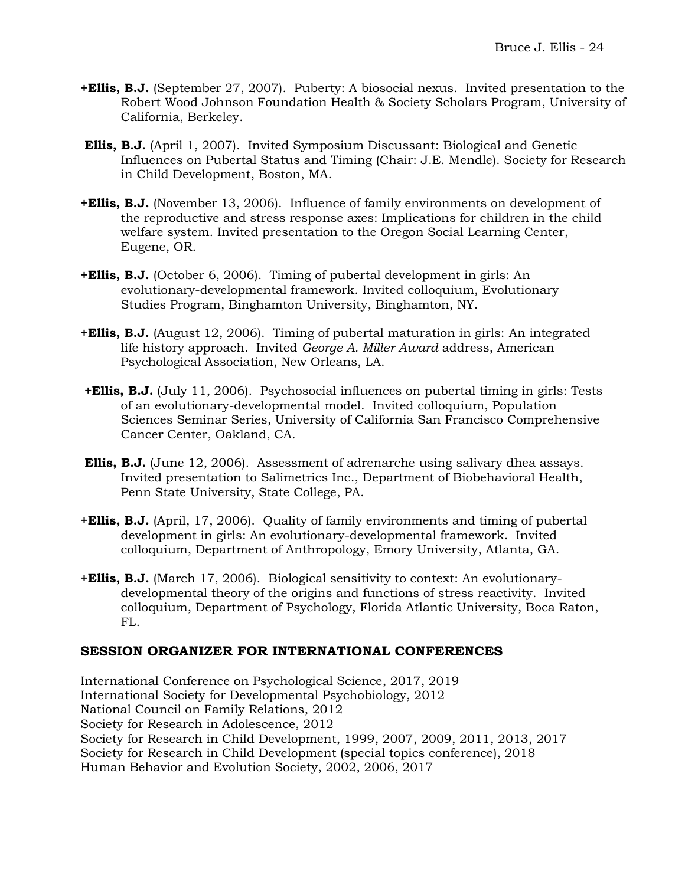- **+Ellis, B.J.** (September 27, 2007). Puberty: A biosocial nexus. Invited presentation to the Robert Wood Johnson Foundation Health & Society Scholars Program, University of California, Berkeley.
- **Ellis, B.J.** (April 1, 2007). Invited Symposium Discussant: Biological and Genetic Influences on Pubertal Status and Timing (Chair: J.E. Mendle). Society for Research in Child Development, Boston, MA.
- **+Ellis, B.J.** (November 13, 2006). Influence of family environments on development of the reproductive and stress response axes: Implications for children in the child welfare system. Invited presentation to the Oregon Social Learning Center, Eugene, OR.
- **+Ellis, B.J.** (October 6, 2006). Timing of pubertal development in girls: An evolutionary-developmental framework. Invited colloquium, Evolutionary Studies Program, Binghamton University, Binghamton, NY.
- **+Ellis, B.J.** (August 12, 2006). Timing of pubertal maturation in girls: An integrated life history approach. Invited *George A. Miller Award* address, American Psychological Association, New Orleans, LA.
- **+Ellis, B.J.** (July 11, 2006). Psychosocial influences on pubertal timing in girls: Tests of an evolutionary-developmental model. Invited colloquium, Population Sciences Seminar Series, University of California San Francisco Comprehensive Cancer Center, Oakland, CA.
- **Ellis, B.J.** (June 12, 2006). Assessment of adrenarche using salivary dhea assays. Invited presentation to Salimetrics Inc., Department of Biobehavioral Health, Penn State University, State College, PA.
- **+Ellis, B.J.** (April, 17, 2006). Quality of family environments and timing of pubertal development in girls: An evolutionary-developmental framework. Invited colloquium, Department of Anthropology, Emory University, Atlanta, GA.
- **+Ellis, B.J.** (March 17, 2006). Biological sensitivity to context: An evolutionarydevelopmental theory of the origins and functions of stress reactivity. Invited colloquium, Department of Psychology, Florida Atlantic University, Boca Raton, FL.

# **SESSION ORGANIZER FOR INTERNATIONAL CONFERENCES**

International Conference on Psychological Science, 2017, 2019 International Society for Developmental Psychobiology, 2012 National Council on Family Relations, 2012 Society for Research in Adolescence, 2012 Society for Research in Child Development, 1999, 2007, 2009, 2011, 2013, 2017 Society for Research in Child Development (special topics conference), 2018 Human Behavior and Evolution Society, 2002, 2006, 2017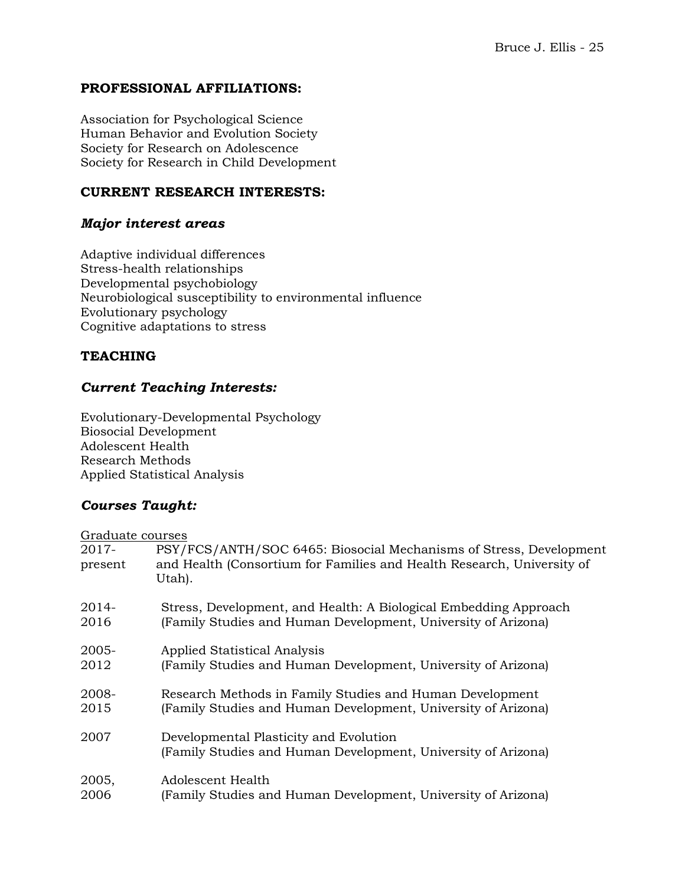# **PROFESSIONAL AFFILIATIONS:**

Association for Psychological Science Human Behavior and Evolution Society Society for Research on Adolescence Society for Research in Child Development

#### **CURRENT RESEARCH INTERESTS:**

# *Major interest areas*

Adaptive individual differences Stress-health relationships Developmental psychobiology Neurobiological susceptibility to environmental influence Evolutionary psychology Cognitive adaptations to stress

# **TEACHING**

# *Current Teaching Interests:*

Evolutionary-Developmental Psychology Biosocial Development Adolescent Health Research Methods Applied Statistical Analysis

# *Courses Taught:*

| Graduate courses | PSY/FCS/ANTH/SOC 6465: Biosocial Mechanisms of Stress, Development                                      |
|------------------|---------------------------------------------------------------------------------------------------------|
| 2017-            | and Health (Consortium for Families and Health Research, University of                                  |
| present          | Utah).                                                                                                  |
| 2014-            | Stress, Development, and Health: A Biological Embedding Approach                                        |
| 2016             | (Family Studies and Human Development, University of Arizona)                                           |
| 2005-            | Applied Statistical Analysis                                                                            |
| 2012             | (Family Studies and Human Development, University of Arizona)                                           |
| 2008-            | Research Methods in Family Studies and Human Development                                                |
| 2015             | (Family Studies and Human Development, University of Arizona)                                           |
| 2007             | Developmental Plasticity and Evolution<br>(Family Studies and Human Development, University of Arizona) |
| 2005,            | Adolescent Health                                                                                       |
| 2006             | (Family Studies and Human Development, University of Arizona)                                           |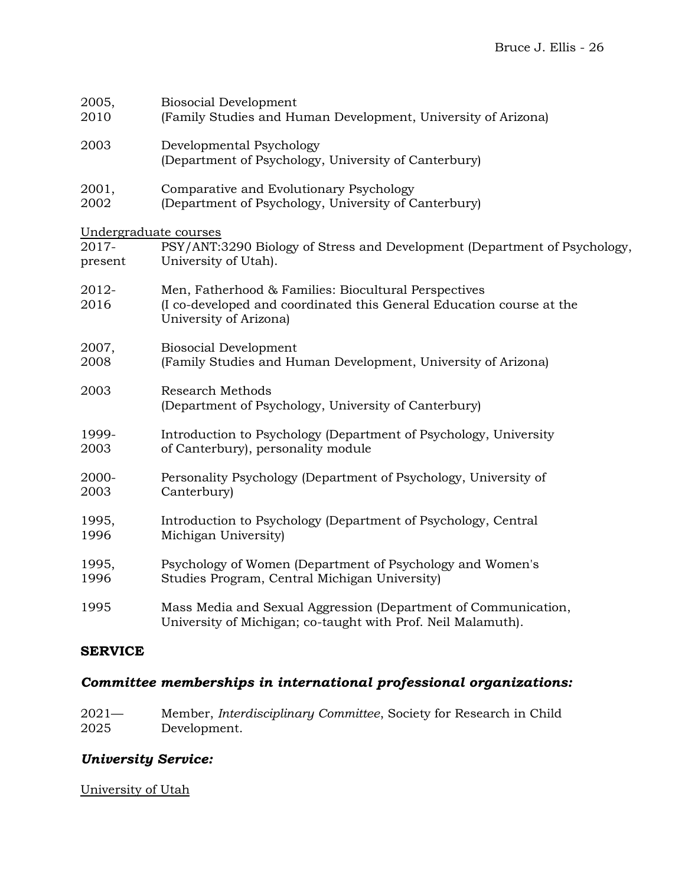| 2005,                 | <b>Biosocial Development</b>                                                                                                                           |
|-----------------------|--------------------------------------------------------------------------------------------------------------------------------------------------------|
| 2010                  | (Family Studies and Human Development, University of Arizona)                                                                                          |
| 2003                  | Developmental Psychology<br>(Department of Psychology, University of Canterbury)                                                                       |
| 2001,                 | Comparative and Evolutionary Psychology                                                                                                                |
| 2002                  | (Department of Psychology, University of Canterbury)                                                                                                   |
| Undergraduate courses |                                                                                                                                                        |
| 2017-                 | PSY/ANT:3290 Biology of Stress and Development (Department of Psychology,                                                                              |
| present               | University of Utah).                                                                                                                                   |
| 2012-<br>2016         | Men, Fatherhood & Families: Biocultural Perspectives<br>(I co-developed and coordinated this General Education course at the<br>University of Arizona) |
| 2007,                 | <b>Biosocial Development</b>                                                                                                                           |
| 2008                  | (Family Studies and Human Development, University of Arizona)                                                                                          |
| 2003                  | <b>Research Methods</b><br>(Department of Psychology, University of Canterbury)                                                                        |
| 1999-                 | Introduction to Psychology (Department of Psychology, University                                                                                       |
| 2003                  | of Canterbury), personality module                                                                                                                     |
| 2000-                 | Personality Psychology (Department of Psychology, University of                                                                                        |
| 2003                  | Canterbury)                                                                                                                                            |
| 1995,                 | Introduction to Psychology (Department of Psychology, Central                                                                                          |
| 1996                  | Michigan University)                                                                                                                                   |
| 1995,                 | Psychology of Women (Department of Psychology and Women's                                                                                              |
| 1996                  | Studies Program, Central Michigan University)                                                                                                          |
| 1995                  | Mass Media and Sexual Aggression (Department of Communication,<br>University of Michigan; co-taught with Prof. Neil Malamuth).                         |

# **SERVICE**

# *Committee memberships in international professional organizations:*

| $2021 -$ | Member, <i>Interdisciplinary Committee</i> , Society for Research in Child |
|----------|----------------------------------------------------------------------------|
| 2025     | Development.                                                               |

# *University Service:*

University of Utah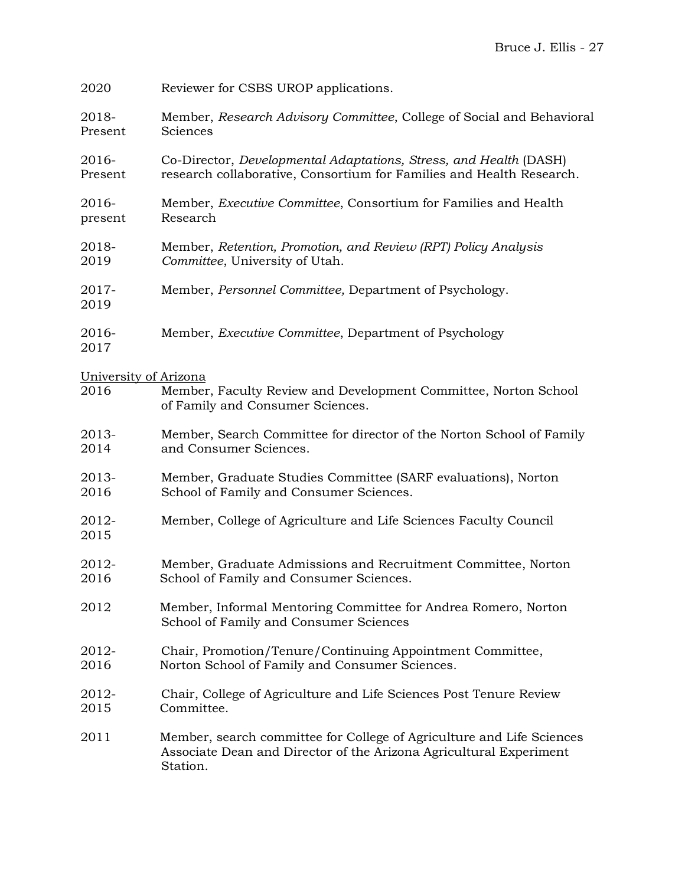2020 Reviewer for CSBS UROP applications.

2018- Member, *Research Advisory Committee*, College of Social and Behavioral Present Sciences

2016- Co-Director, *Developmental Adaptations, Stress, and Health* (DASH) Present research collaborative, Consortium for Families and Health Research.

2016- Member, *Executive Committee*, Consortium for Families and Health present Research

- 2018- Member, *Retention, Promotion, and Review (RPT) Policy Analysis* 2019 *Committee*, University of Utah.
- 2017- Member, *Personnel Committee,* Department of Psychology.
- 2016- Member, *Executive Committee*, Department of Psychology 2017

# University of Arizona

2019

| 2016          | Member, Faculty Review and Development Committee, Norton School<br>of Family and Consumer Sciences.                                                     |
|---------------|---------------------------------------------------------------------------------------------------------------------------------------------------------|
| 2013-         | Member, Search Committee for director of the Norton School of Family                                                                                    |
| 2014          | and Consumer Sciences.                                                                                                                                  |
| 2013-         | Member, Graduate Studies Committee (SARF evaluations), Norton                                                                                           |
| 2016          | School of Family and Consumer Sciences.                                                                                                                 |
| 2012-<br>2015 | Member, College of Agriculture and Life Sciences Faculty Council                                                                                        |
| 2012-         | Member, Graduate Admissions and Recruitment Committee, Norton                                                                                           |
| 2016          | School of Family and Consumer Sciences.                                                                                                                 |
| 2012          | Member, Informal Mentoring Committee for Andrea Romero, Norton<br>School of Family and Consumer Sciences                                                |
| 2012-         | Chair, Promotion/Tenure/Continuing Appointment Committee,                                                                                               |
| 2016          | Norton School of Family and Consumer Sciences.                                                                                                          |
| 2012-         | Chair, College of Agriculture and Life Sciences Post Tenure Review                                                                                      |
| 2015          | Committee.                                                                                                                                              |
| 2011          | Member, search committee for College of Agriculture and Life Sciences<br>Associate Dean and Director of the Arizona Agricultural Experiment<br>Station. |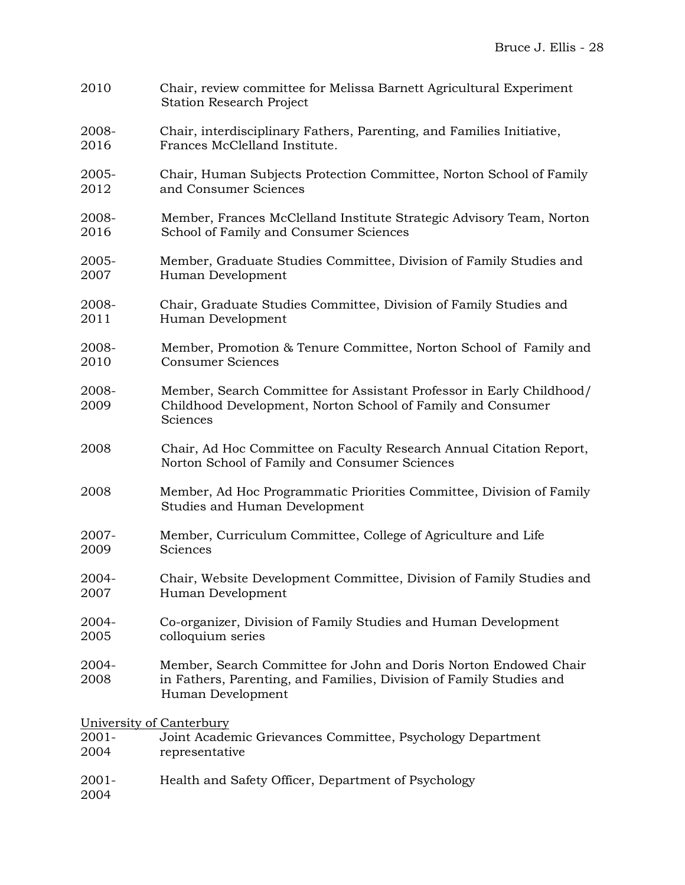| 2010             | Chair, review committee for Melissa Barnett Agricultural Experiment<br><b>Station Research Project</b>                                                       |
|------------------|--------------------------------------------------------------------------------------------------------------------------------------------------------------|
| 2008-            | Chair, interdisciplinary Fathers, Parenting, and Families Initiative,                                                                                        |
| 2016             | Frances McClelland Institute.                                                                                                                                |
| 2005-            | Chair, Human Subjects Protection Committee, Norton School of Family                                                                                          |
| 2012             | and Consumer Sciences                                                                                                                                        |
| 2008-            | Member, Frances McClelland Institute Strategic Advisory Team, Norton                                                                                         |
| 2016             | School of Family and Consumer Sciences                                                                                                                       |
| 2005-            | Member, Graduate Studies Committee, Division of Family Studies and                                                                                           |
| 2007             | Human Development                                                                                                                                            |
| 2008-            | Chair, Graduate Studies Committee, Division of Family Studies and                                                                                            |
| 2011             | Human Development                                                                                                                                            |
| 2008-            | Member, Promotion & Tenure Committee, Norton School of Family and                                                                                            |
| 2010             | <b>Consumer Sciences</b>                                                                                                                                     |
| 2008-<br>2009    | Member, Search Committee for Assistant Professor in Early Childhood/<br>Childhood Development, Norton School of Family and Consumer<br>Sciences              |
| 2008             | Chair, Ad Hoc Committee on Faculty Research Annual Citation Report,<br>Norton School of Family and Consumer Sciences                                         |
| 2008             | Member, Ad Hoc Programmatic Priorities Committee, Division of Family<br>Studies and Human Development                                                        |
| 2007-            | Member, Curriculum Committee, College of Agriculture and Life                                                                                                |
| 2009             | Sciences                                                                                                                                                     |
| 2004-            | Chair, Website Development Committee, Division of Family Studies and                                                                                         |
| 2007             | Human Development                                                                                                                                            |
| 2004-            | Co-organizer, Division of Family Studies and Human Development                                                                                               |
| 2005             | colloquium series                                                                                                                                            |
| 2004-<br>2008    | Member, Search Committee for John and Doris Norton Endowed Chair<br>in Fathers, Parenting, and Families, Division of Family Studies and<br>Human Development |
|                  | University of Canterbury                                                                                                                                     |
| 2001-            | Joint Academic Grievances Committee, Psychology Department                                                                                                   |
| 2004             | representative                                                                                                                                               |
| $2001 -$<br>2004 | Health and Safety Officer, Department of Psychology                                                                                                          |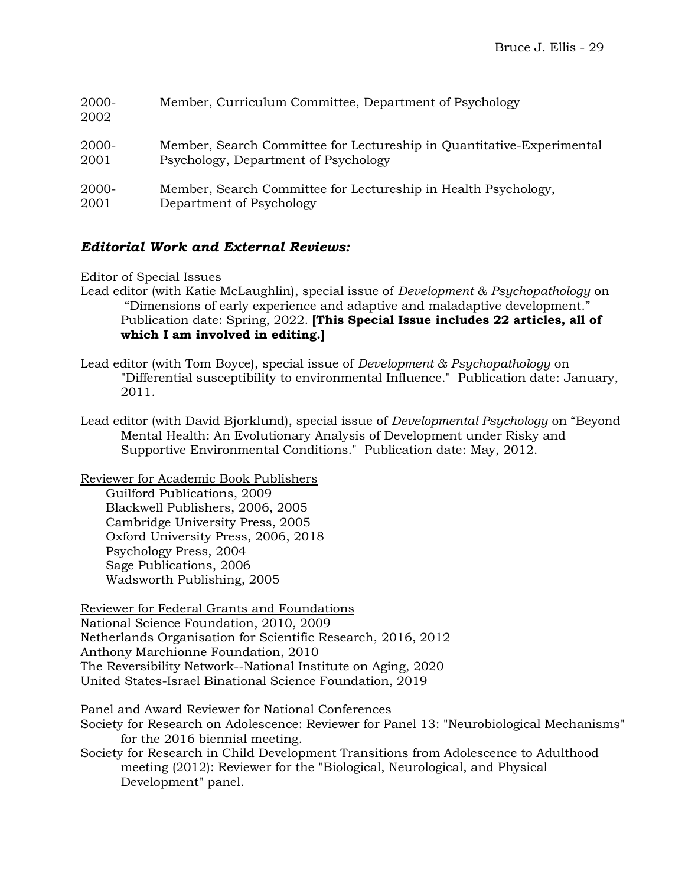| 2000-<br>2002 | Member, Curriculum Committee, Department of Psychology                |
|---------------|-----------------------------------------------------------------------|
| 2000-         | Member, Search Committee for Lectureship in Quantitative-Experimental |
| 2001          | Psychology, Department of Psychology                                  |
| 2000-         | Member, Search Committee for Lectureship in Health Psychology,        |
| 2001          | Department of Psychology                                              |

# *Editorial Work and External Reviews:*

Editor of Special Issues

- Lead editor (with Katie McLaughlin), special issue of *Development & Psychopathology* on "Dimensions of early experience and adaptive and maladaptive development." Publication date: Spring, 2022. **[This Special Issue includes 22 articles, all of which I am involved in editing.]**
- Lead editor (with Tom Boyce), special issue of *Development & Psychopathology* on "Differential susceptibility to environmental Influence." Publication date: January, 2011.
- Lead editor (with David Bjorklund), special issue of *Developmental Psychology* on "Beyond Mental Health: An Evolutionary Analysis of Development under Risky and Supportive Environmental Conditions." Publication date: May, 2012.

Reviewer for Academic Book Publishers

Guilford Publications, 2009 Blackwell Publishers, 2006, 2005 Cambridge University Press, 2005 Oxford University Press, 2006, 2018 Psychology Press, 2004 Sage Publications, 2006 Wadsworth Publishing, 2005

Reviewer for Federal Grants and Foundations National Science Foundation, 2010, 2009 Netherlands Organisation for Scientific Research, 2016, 2012 Anthony Marchionne Foundation, 2010 The Reversibility Network--National Institute on Aging, 2020 United States-Israel Binational Science Foundation, 2019

Panel and Award Reviewer for National Conferences

Society for Research on Adolescence: Reviewer for Panel 13: "Neurobiological Mechanisms" for the 2016 biennial meeting.

Society for Research in Child Development Transitions from Adolescence to Adulthood meeting (2012): Reviewer for the "Biological, Neurological, and Physical Development" panel.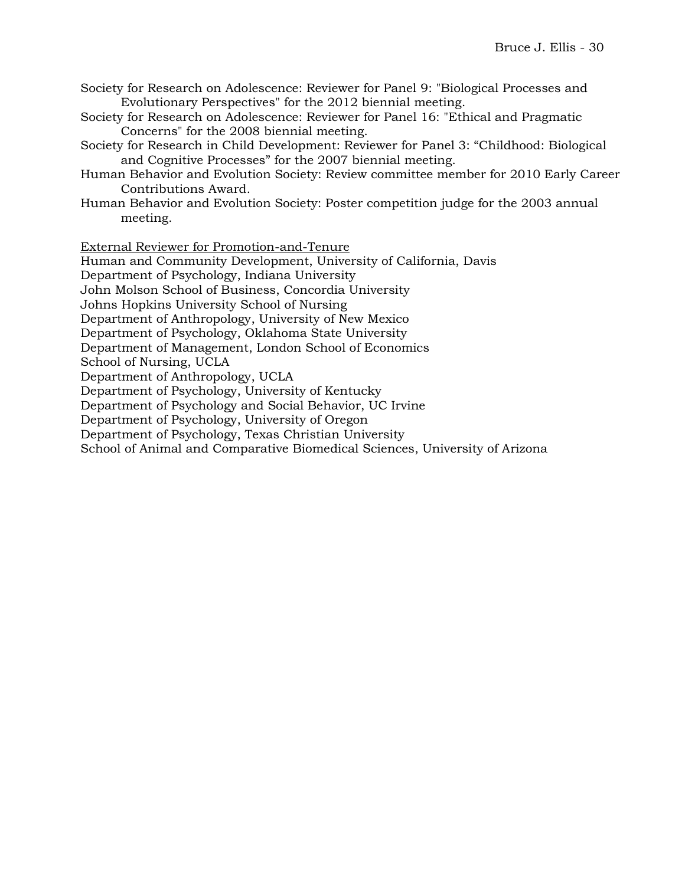- Society for Research on Adolescence: Reviewer for Panel 9: "Biological Processes and Evolutionary Perspectives" for the 2012 biennial meeting.
- Society for Research on Adolescence: Reviewer for Panel 16: "Ethical and Pragmatic Concerns" for the 2008 biennial meeting.
- Society for Research in Child Development: Reviewer for Panel 3: "Childhood: Biological and Cognitive Processes" for the 2007 biennial meeting.
- Human Behavior and Evolution Society: Review committee member for 2010 Early Career Contributions Award.
- Human Behavior and Evolution Society: Poster competition judge for the 2003 annual meeting.

External Reviewer for Promotion-and-Tenure

Human and Community Development, University of California, Davis

Department of Psychology, Indiana University

John Molson School of Business, Concordia University

Johns Hopkins University School of Nursing

Department of Anthropology, University of New Mexico

Department of Psychology, Oklahoma State University

Department of Management, London School of Economics

School of Nursing, UCLA

Department of Anthropology, UCLA

Department of Psychology, University of Kentucky

Department of Psychology and Social Behavior, UC Irvine

Department of Psychology, University of Oregon

Department of Psychology, Texas Christian University

School of Animal and Comparative Biomedical Sciences, University of Arizona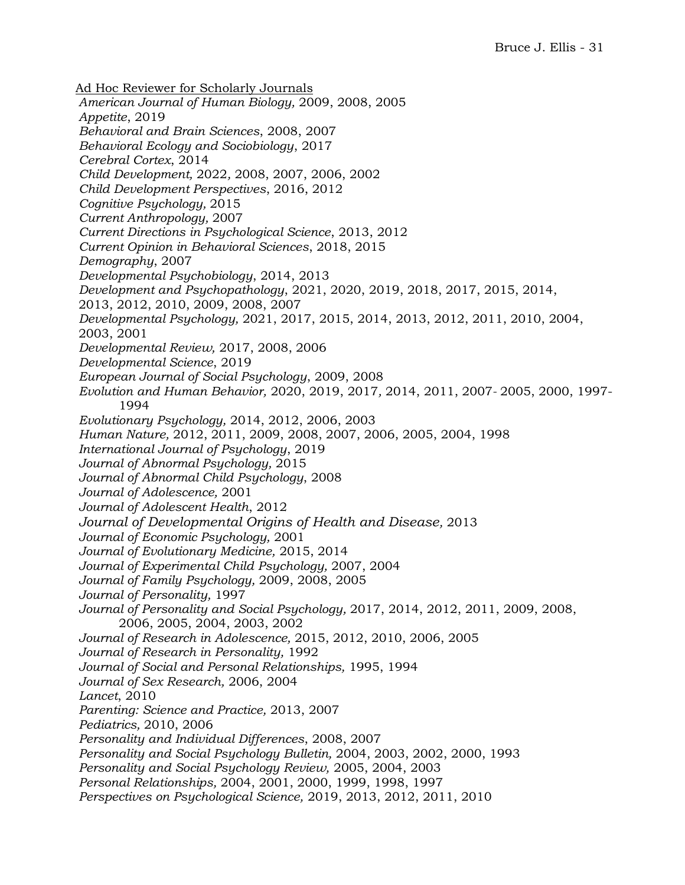Ad Hoc Reviewer for Scholarly Journals *American Journal of Human Biology,* 2009, 2008, 2005 *Appetite*, 2019 *Behavioral and Brain Sciences*, 2008, 2007 *Behavioral Ecology and Sociobiology*, 2017 *Cerebral Cortex*, 2014 *Child Development,* 2022*,* 2008, 2007, 2006, 2002 *Child Development Perspectives*, 2016, 2012 *Cognitive Psychology,* 2015 *Current Anthropology,* 2007 *Current Directions in Psychological Science*, 2013, 2012 *Current Opinion in Behavioral Sciences*, 2018, 2015 *Demography*, 2007 *Developmental Psychobiology*, 2014, 2013 *Development and Psychopathology*, 2021, 2020, 2019, 2018, 2017, 2015, 2014, 2013, 2012, 2010, 2009, 2008, 2007 *Developmental Psychology,* 2021, 2017, 2015, 2014, 2013, 2012, 2011, 2010, 2004, 2003, 2001 *Developmental Review,* 2017, 2008, 2006 *Developmental Science*, 2019 *European Journal of Social Psychology*, 2009, 2008 *Evolution and Human Behavior,* 2020, 2019, 2017*,* 2014, 2011, 2007*-* 2005, 2000, 1997- 1994 *Evolutionary Psychology,* 2014, 2012, 2006, 2003 *Human Nature,* 2012, 2011, 2009, 2008, 2007, 2006, 2005, 2004, 1998 *International Journal of Psychology*, 2019 *Journal of Abnormal Psychology,* 2015 *Journal of Abnormal Child Psychology*, 2008 *Journal of Adolescence,* 2001 *Journal of Adolescent Health*, 2012 *Journal of Developmental Origins of Health and Disease,* 2013 *Journal of Economic Psychology,* 2001 *Journal of Evolutionary Medicine,* 2015, 2014 *Journal of Experimental Child Psychology,* 2007, 2004 *Journal of Family Psychology,* 2009, 2008, 2005 *Journal of Personality,* 1997 *Journal of Personality and Social Psychology,* 2017, 2014, 2012, 2011, 2009, 2008, 2006, 2005, 2004, 2003, 2002 *Journal of Research in Adolescence,* 2015, 2012, 2010, 2006, 2005 *Journal of Research in Personality,* 1992 *Journal of Social and Personal Relationships,* 1995, 1994 *Journal of Sex Research,* 2006, 2004 *Lancet*, 2010 *Parenting: Science and Practice,* 2013, 2007 *Pediatrics,* 2010, 2006 *Personality and Individual Differences*, 2008, 2007 *Personality and Social Psychology Bulletin,* 2004, 2003, 2002, 2000, 1993 *Personality and Social Psychology Review,* 2005, 2004, 2003 *Personal Relationships,* 2004, 2001, 2000, 1999, 1998, 1997 *Perspectives on Psychological Science,* 2019, 2013, 2012, 2011, 2010